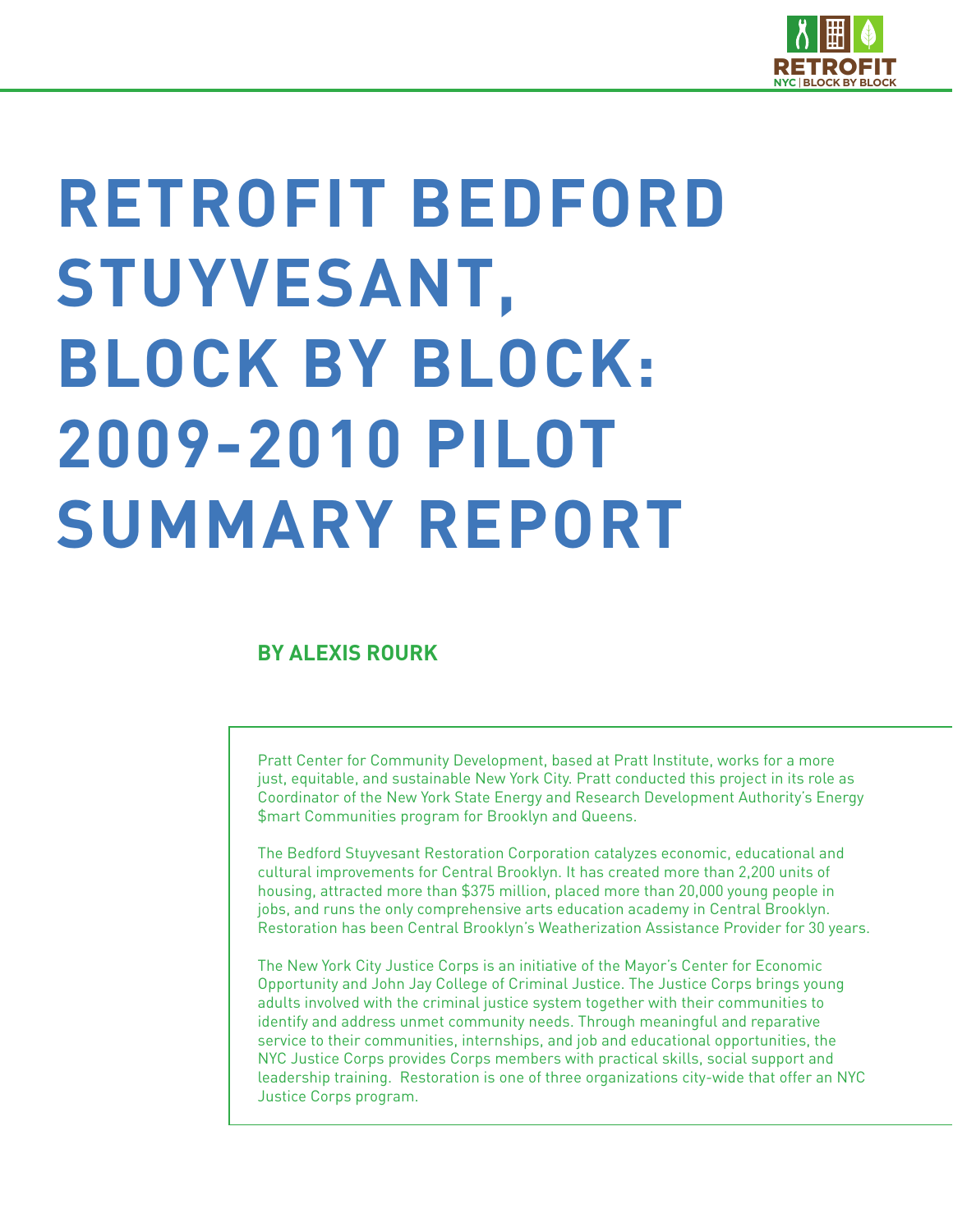

# **RETROFIT BEDFORD STUYVESANT, BLOCK BY BLOCK: 2009-2010 PILOT SUMMARY REPORT**

# **BY ALEXIS ROURK**

Pratt Center for Community Development, based at Pratt Institute, works for a more just, equitable, and sustainable New York City. Pratt conducted this project in its role as Coordinator of the New York State Energy and Research Development Authority's Energy \$mart Communities program for Brooklyn and Queens.

The Bedford Stuyvesant Restoration Corporation catalyzes economic, educational and cultural improvements for Central Brooklyn. It has created more than 2,200 units of housing, attracted more than \$375 million, placed more than 20,000 young people in jobs, and runs the only comprehensive arts education academy in Central Brooklyn. Restoration has been Central Brooklyn's Weatherization Assistance Provider for 30 years.

The New York City Justice Corps is an initiative of the Mayor's Center for Economic Opportunity and John Jay College of Criminal Justice. The Justice Corps brings young adults involved with the criminal justice system together with their communities to identify and address unmet community needs. Through meaningful and reparative service to their communities, internships, and job and educational opportunities, the NYC Justice Corps provides Corps members with practical skills, social support and leadership training. Restoration is one of three organizations city-wide that offer an NYC Justice Corps program.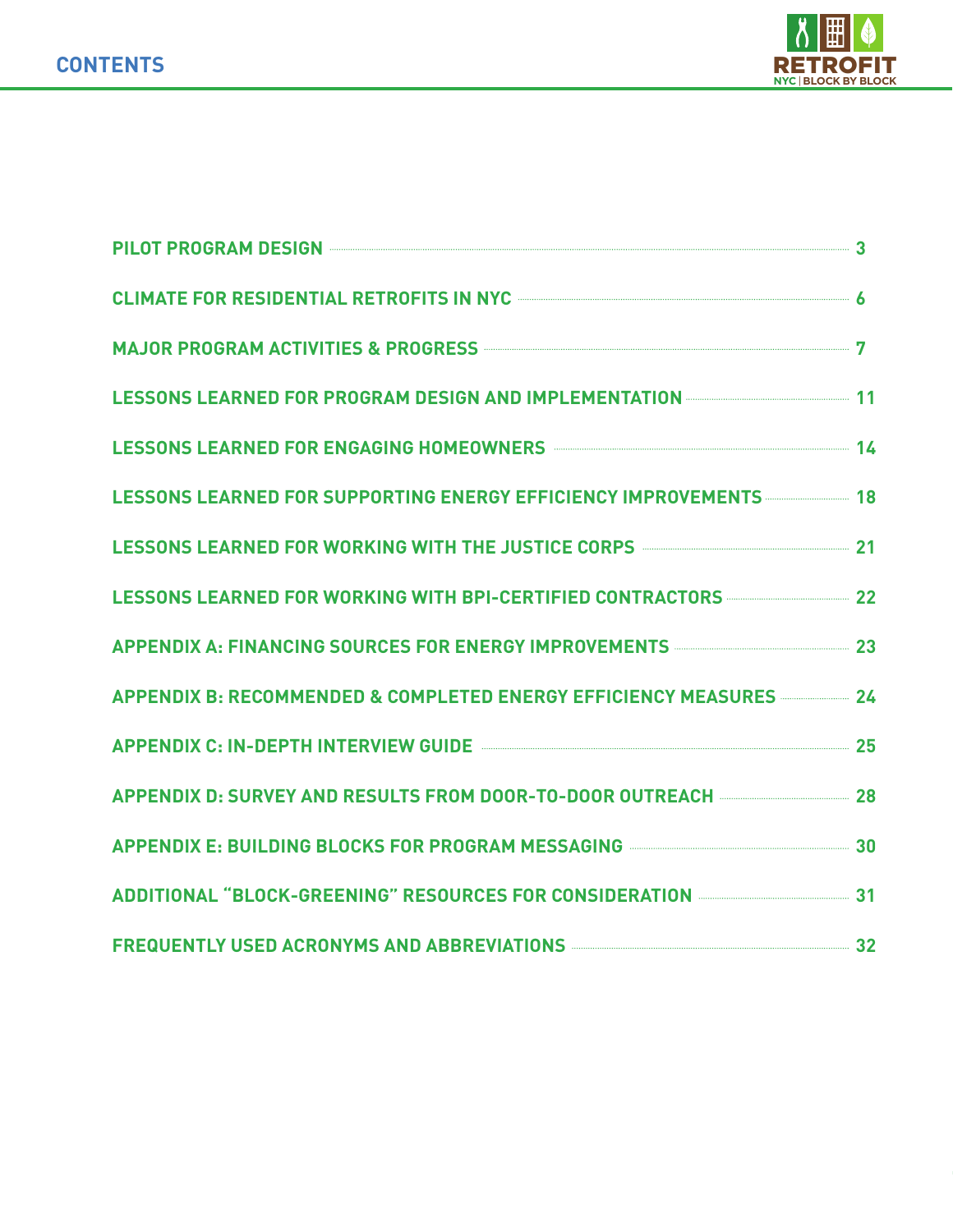

| PILOT PROGRAM DESIGN <b>CONSUMING THE REAL PROGRAM</b> DESIGN 3                                                                      |  |
|--------------------------------------------------------------------------------------------------------------------------------------|--|
| CLIMATE FOR RESIDENTIAL RETROFITS IN NYC <b>CONSIDERENT OF A SET AND A SET A</b>                                                     |  |
| MAJOR PROGRAM ACTIVITIES & PROGRESS <b>MALLA BEEN ACCEPTED ACTIVITIES</b> & PROGRESS                                                 |  |
| LESSONS LEARNED FOR PROGRAM DESIGN AND IMPLEMENTATION <b>CONSIDERATION</b>                                                           |  |
| LESSONS LEARNED FOR ENGAGING HOMEOWNERS <b>CONSIDERATION</b> 14                                                                      |  |
| LESSONS LEARNED FOR SUPPORTING ENERGY EFFICIENCY IMPROVEMENTS                                                                        |  |
| LESSONS LEARNED FOR WORKING WITH THE JUSTICE CORPS <b>CORPS</b> 21                                                                   |  |
| LESSONS LEARNED FOR WORKING WITH BPI-CERTIFIED CONTRACTORS <b>CONTRACTORS</b>                                                        |  |
| APPENDIX A: FINANCING SOURCES FOR ENERGY IMPROVEMENTS <b>CONSIDERATE ACCESS</b>                                                      |  |
| APPENDIX B: RECOMMENDED & COMPLETED ENERGY EFFICIENCY MEASURES <b>APPENDIX</b> B: RECOMMENDED & COMPLETED ENERGY EFFICIENCY MEASURES |  |
| APPENDIX C: IN-DEPTH INTERVIEW GUIDE <b>CONSERVIEW GUIDE</b> 25                                                                      |  |
| APPENDIX D: SURVEY AND RESULTS FROM DOOR-TO-DOOR OUTREACH <b>CONSUMENTS</b> 28                                                       |  |
| APPENDIX E: BUILDING BLOCKS FOR PROGRAM MESSAGING <b>CONSERVERSE SET A SET A</b> 30                                                  |  |
| ADDITIONAL "BLOCK-GREENING" RESOURCES FOR CONSIDERATION <b>CONSIDERATION</b>                                                         |  |
| FREQUENTLY USED ACRONYMS AND ABBREVIATIONS <b>Example 2018</b> 32                                                                    |  |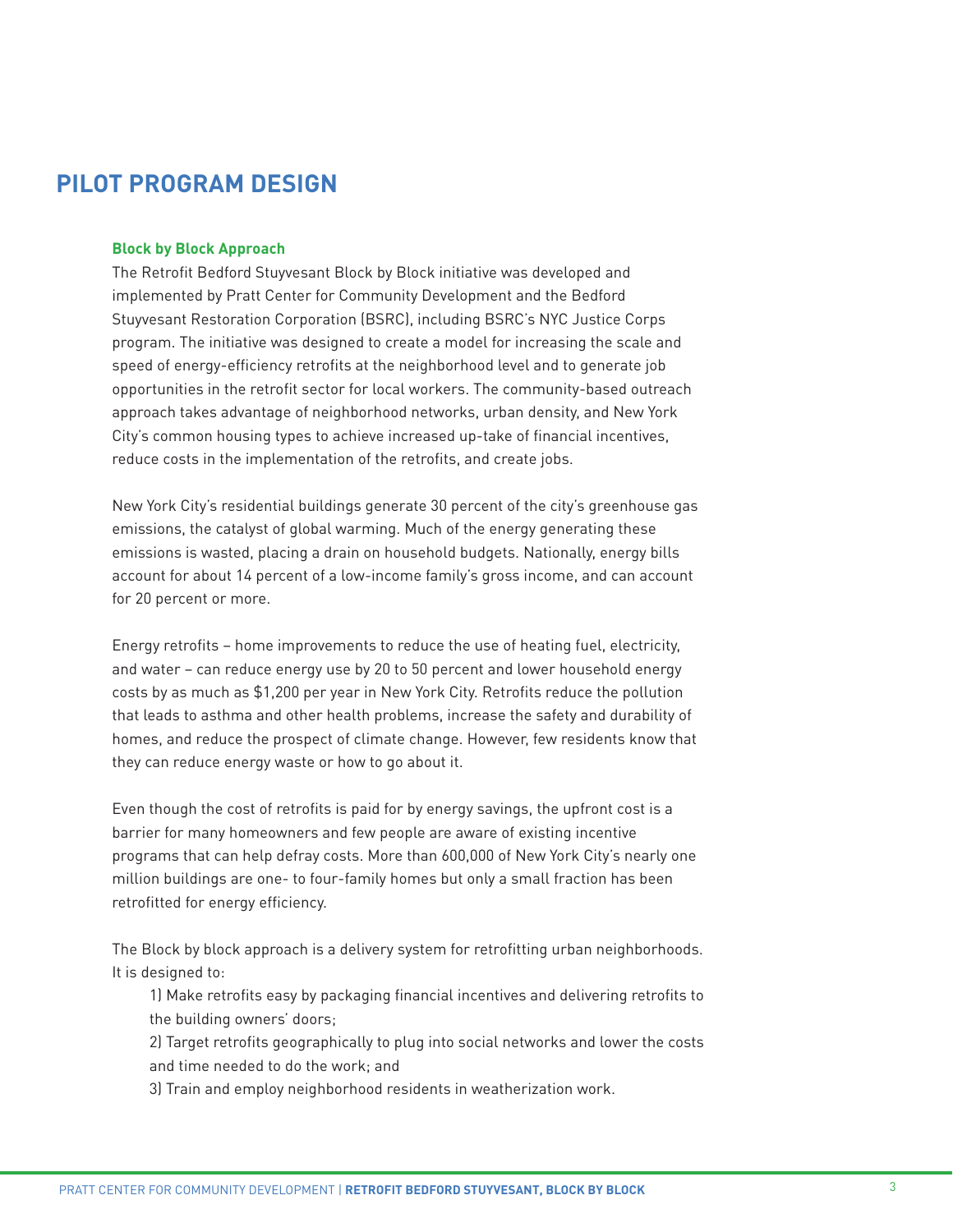# **PILOT PROGRAM DESIGN**

# **Block by Block Approach**

The Retrofit Bedford Stuyvesant Block by Block initiative was developed and implemented by Pratt Center for Community Development and the Bedford Stuyvesant Restoration Corporation (BSRC), including BSRC's NYC Justice Corps program. The initiative was designed to create a model for increasing the scale and speed of energy-efficiency retrofits at the neighborhood level and to generate job opportunities in the retrofit sector for local workers. The community-based outreach approach takes advantage of neighborhood networks, urban density, and New York City's common housing types to achieve increased up-take of financial incentives, reduce costs in the implementation of the retrofits, and create jobs.

New York City's residential buildings generate 30 percent of the city's greenhouse gas emissions, the catalyst of global warming. Much of the energy generating these emissions is wasted, placing a drain on household budgets. Nationally, energy bills account for about 14 percent of a low-income family's gross income, and can account for 20 percent or more.

Energy retrofits – home improvements to reduce the use of heating fuel, electricity, and water – can reduce energy use by 20 to 50 percent and lower household energy costs by as much as \$1,200 per year in New York City. Retrofits reduce the pollution that leads to asthma and other health problems, increase the safety and durability of homes, and reduce the prospect of climate change. However, few residents know that they can reduce energy waste or how to go about it.

Even though the cost of retrofits is paid for by energy savings, the upfront cost is a barrier for many homeowners and few people are aware of existing incentive programs that can help defray costs. More than 600,000 of New York City's nearly one million buildings are one- to four-family homes but only a small fraction has been retrofitted for energy efficiency.

The Block by block approach is a delivery system for retrofitting urban neighborhoods. It is designed to:

1) Make retrofits easy by packaging financial incentives and delivering retrofits to the building owners' doors;

2) Target retrofits geographically to plug into social networks and lower the costs and time needed to do the work; and

3) Train and employ neighborhood residents in weatherization work.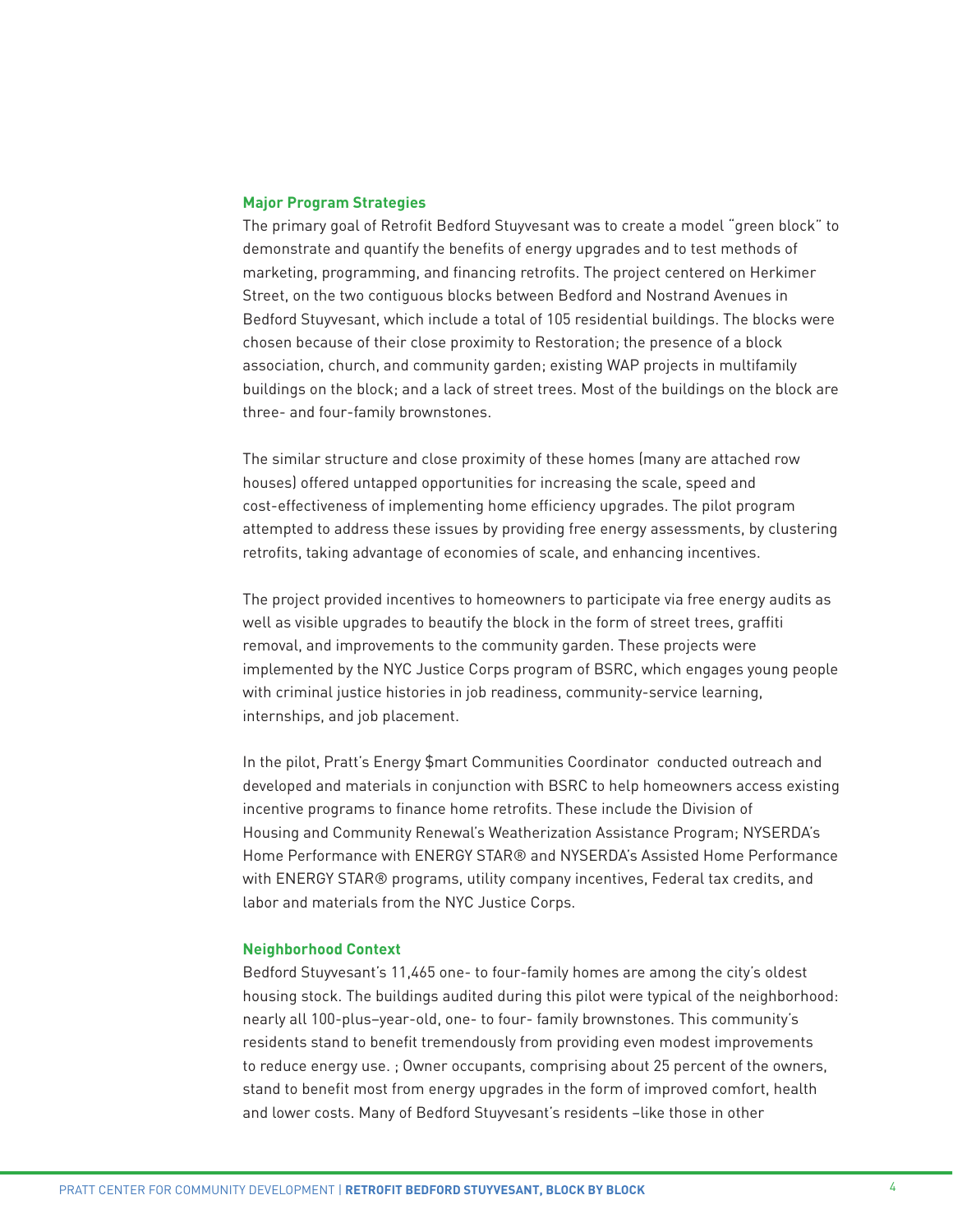#### **Major Program Strategies**

The primary goal of Retrofit Bedford Stuyvesant was to create a model "green block" to demonstrate and quantify the benefits of energy upgrades and to test methods of marketing, programming, and financing retrofits. The project centered on Herkimer Street, on the two contiguous blocks between Bedford and Nostrand Avenues in Bedford Stuyvesant, which include a total of 105 residential buildings. The blocks were chosen because of their close proximity to Restoration; the presence of a block association, church, and community garden; existing WAP projects in multifamily buildings on the block; and a lack of street trees. Most of the buildings on the block are three- and four-family brownstones.

The similar structure and close proximity of these homes (many are attached row houses) offered untapped opportunities for increasing the scale, speed and cost-effectiveness of implementing home efficiency upgrades. The pilot program attempted to address these issues by providing free energy assessments, by clustering retrofits, taking advantage of economies of scale, and enhancing incentives.

The project provided incentives to homeowners to participate via free energy audits as well as visible upgrades to beautify the block in the form of street trees, graffiti removal, and improvements to the community garden. These projects were implemented by the NYC Justice Corps program of BSRC, which engages young people with criminal justice histories in job readiness, community-service learning, internships, and job placement.

In the pilot, Pratt's Energy \$mart Communities Coordinator conducted outreach and developed and materials in conjunction with BSRC to help homeowners access existing incentive programs to finance home retrofits. These include the Division of Housing and Community Renewal's Weatherization Assistance Program; NYSERDA's Home Performance with ENERGY STAR® and NYSERDA's Assisted Home Performance with ENERGY STAR® programs, utility company incentives, Federal tax credits, and labor and materials from the NYC Justice Corps.

#### **Neighborhood Context**

Bedford Stuyvesant's 11,465 one- to four-family homes are among the city's oldest housing stock. The buildings audited during this pilot were typical of the neighborhood: nearly all 100-plus–year-old, one- to four- family brownstones. This community's residents stand to benefit tremendously from providing even modest improvements to reduce energy use. ; Owner occupants, comprising about 25 percent of the owners, stand to benefit most from energy upgrades in the form of improved comfort, health and lower costs. Many of Bedford Stuyvesant's residents -like those in other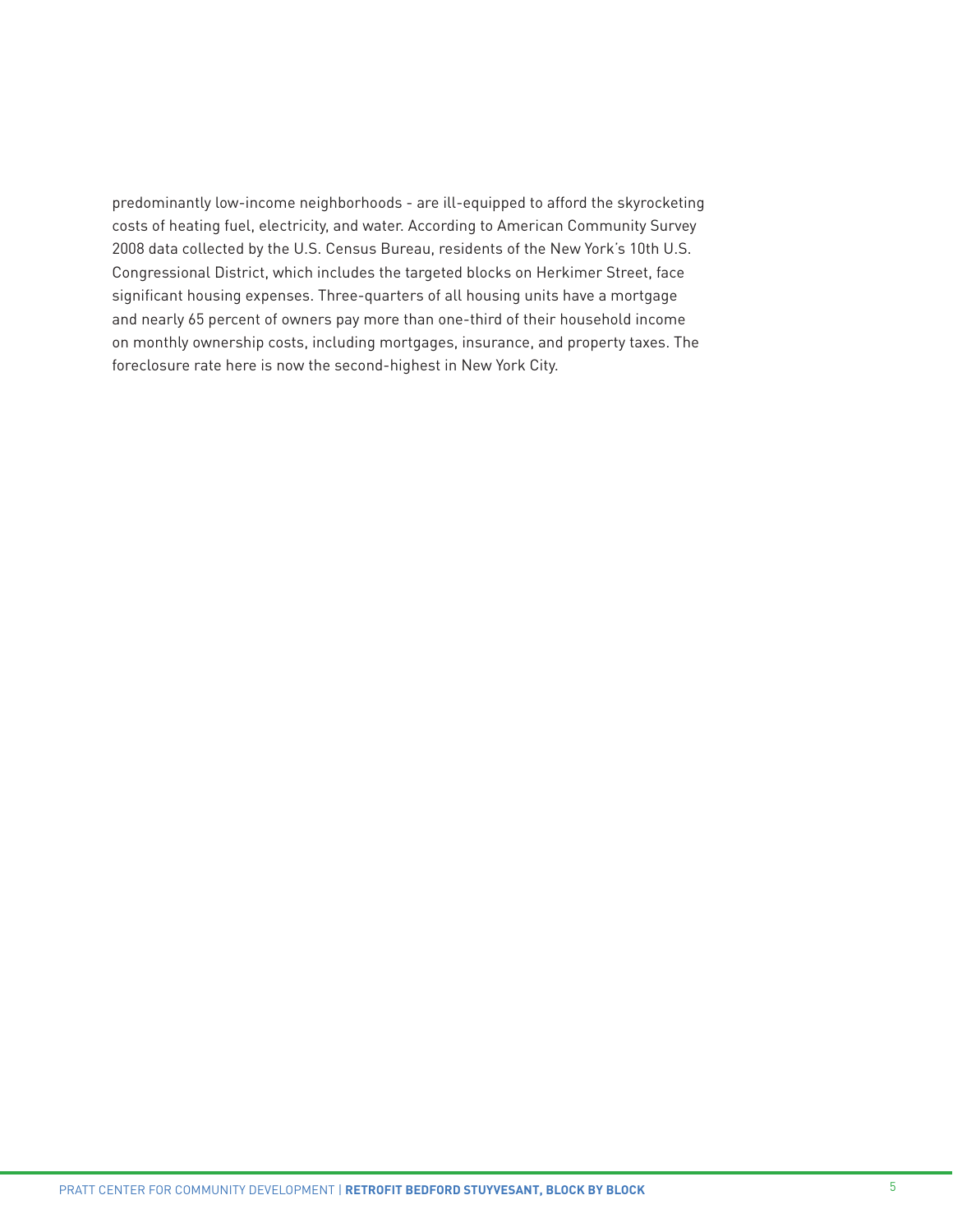predominantly low-income neighborhoods - are ill-equipped to afford the skyrocketing costs of heating fuel, electricity, and water. According to American Community Survey 2008 data collected by the U.S. Census Bureau, residents of the New York's 10th U.S. Congressional District, which includes the targeted blocks on Herkimer Street, face significant housing expenses. Three-quarters of all housing units have a mortgage and nearly 65 percent of owners pay more than one-third of their household income on monthly ownership costs, including mortgages, insurance, and property taxes. The foreclosure rate here is now the second-highest in New York City.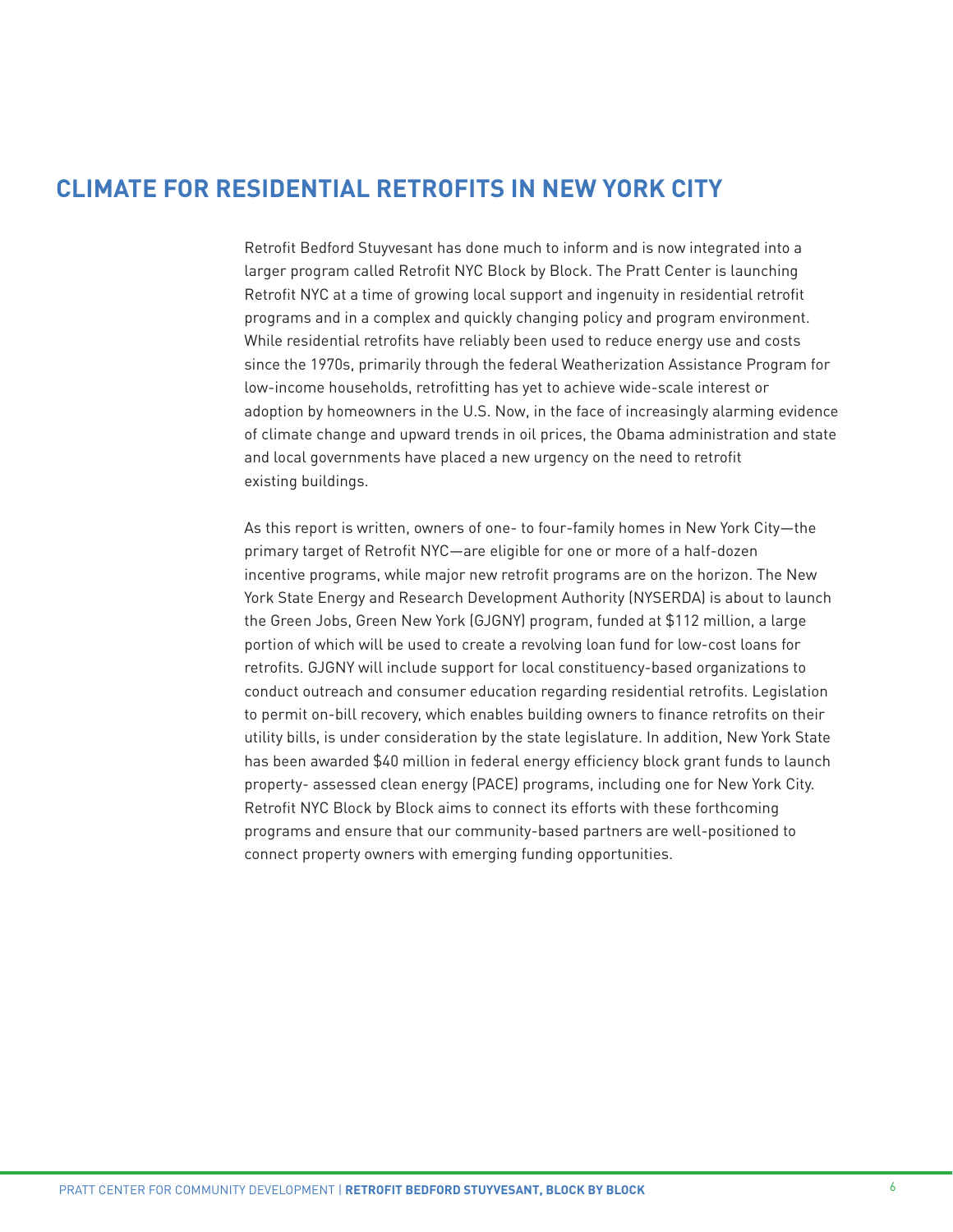# **CLIMATE FOR RESIDENTIAL RETROFITS IN NEW YORK CITY**

Retrofit Bedford Stuyvesant has done much to inform and is now integrated into a larger program called Retrofit NYC Block by Block. The Pratt Center is launching Retrofit NYC at a time of growing local support and ingenuity in residential retrofit programs and in a complex and quickly changing policy and program environment. While residential retrofits have reliably been used to reduce energy use and costs since the 1970s, primarily through the federal Weatherization Assistance Program for low-income households, retrofitting has yet to achieve wide-scale interest or adoption by homeowners in the U.S. Now, in the face of increasingly alarming evidence of climate change and upward trends in oil prices, the Obama administration and state and local governments have placed a new urgency on the need to retrofit existing buildings.

As this report is written, owners of one- to four-family homes in New York City—the primary target of Retrofit NYC—are eligible for one or more of a half-dozen incentive programs, while major new retrofit programs are on the horizon. The New York State Energy and Research Development Authority (NYSERDA) is about to launch the Green Jobs, Green New York (GJGNY) program, funded at \$112 million, a large portion of which will be used to create a revolving loan fund for low-cost loans for retrofits. GJGNY will include support for local constituency-based organizations to conduct outreach and consumer education regarding residential retrofits. Legislation to permit on-bill recovery, which enables building owners to finance retrofits on their utility bills, is under consideration by the state legislature. In addition, New York State has been awarded \$40 million in federal energy efficiency block grant funds to launch property- assessed clean energy (PACE) programs, including one for New York City. Retrofit NYC Block by Block aims to connect its efforts with these forthcoming programs and ensure that our community-based partners are well-positioned to connect property owners with emerging funding opportunities.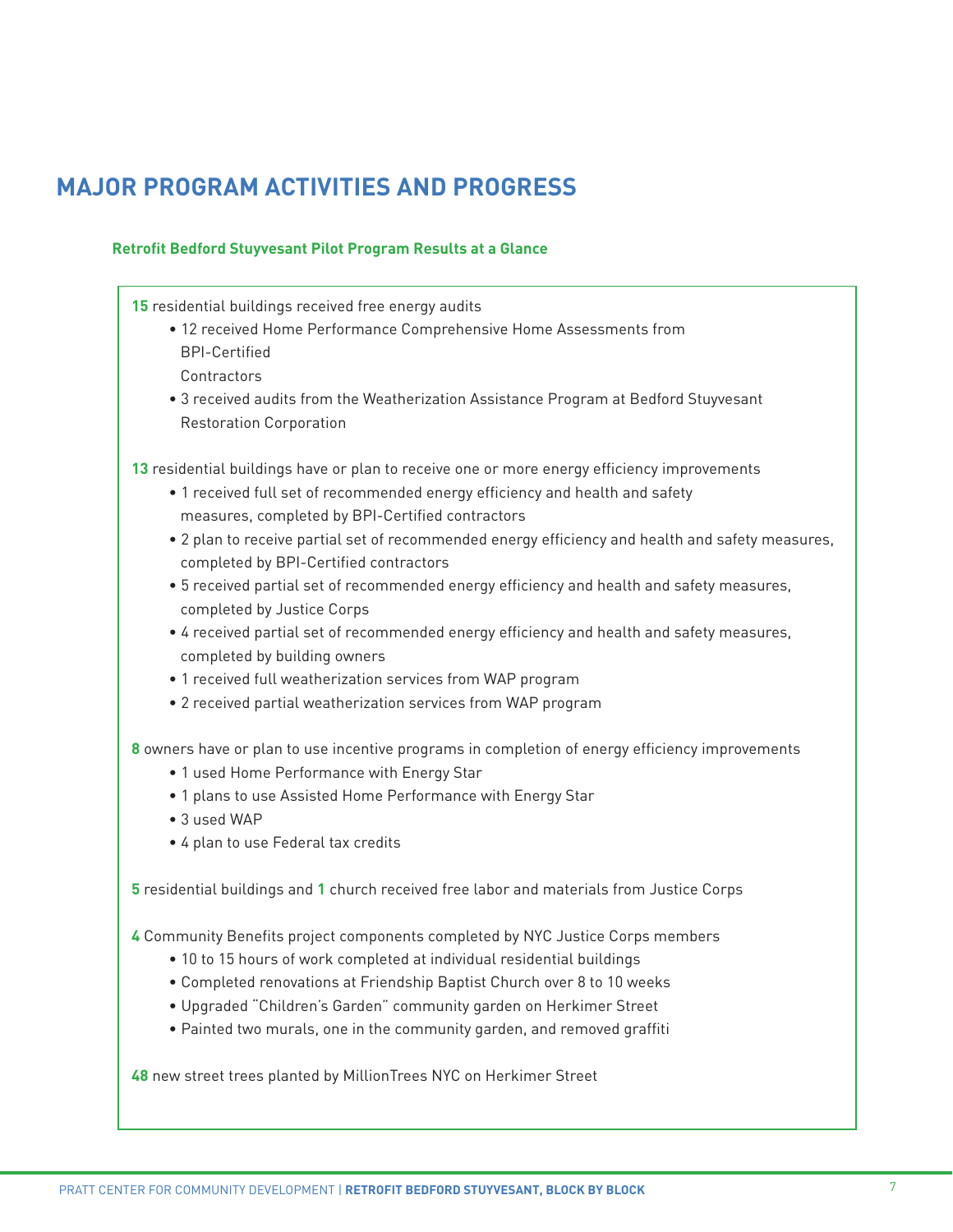# **MAJOR PROGRAM ACTIVITIES AND PROGRESS**

# **Retrofit Bedford Stuyvesant Pilot Program Results at a Glance**

**15** residential buildings received free energy audits

- 12 received Home Performance Comprehensive Home Assessments from BPI-Certified
	- Contractors
- 3 received audits from the Weatherization Assistance Program at Bedford Stuyvesant Restoration Corporation

**13** residential buildings have or plan to receive one or more energy efficiency improvements

- 1 received full set of recommended energy efficiency and health and safety measures, completed by BPI-Certified contractors
- 2 plan to receive partial set of recommended energy efficiency and health and safety measures, completed by BPI-Certified contractors
- 5 received partial set of recommended energy efficiency and health and safety measures, completed by Justice Corps
- 4 received partial set of recommended energy efficiency and health and safety measures, completed by building owners
- 1 received full weatherization services from WAP program
- 2 received partial weatherization services from WAP program

**8** owners have or plan to use incentive programs in completion of energy efficiency improvements

- 1 used Home Performance with Energy Star
- 1 plans to use Assisted Home Performance with Energy Star
- 3 used WAP
- 4 plan to use Federal tax credits

**5** residential buildings and **1** church received free labor and materials from Justice Corps

**4** Community Benefits project components completed by NYC Justice Corps members

- 10 to 15 hours of work completed at individual residential buildings
- Completed renovations at Friendship Baptist Church over 8 to 10 weeks
- Upgraded "Children's Garden" community garden on Herkimer Street
- Painted two murals, one in the community garden, and removed graffiti

**48** new street trees planted by MillionTrees NYC on Herkimer Street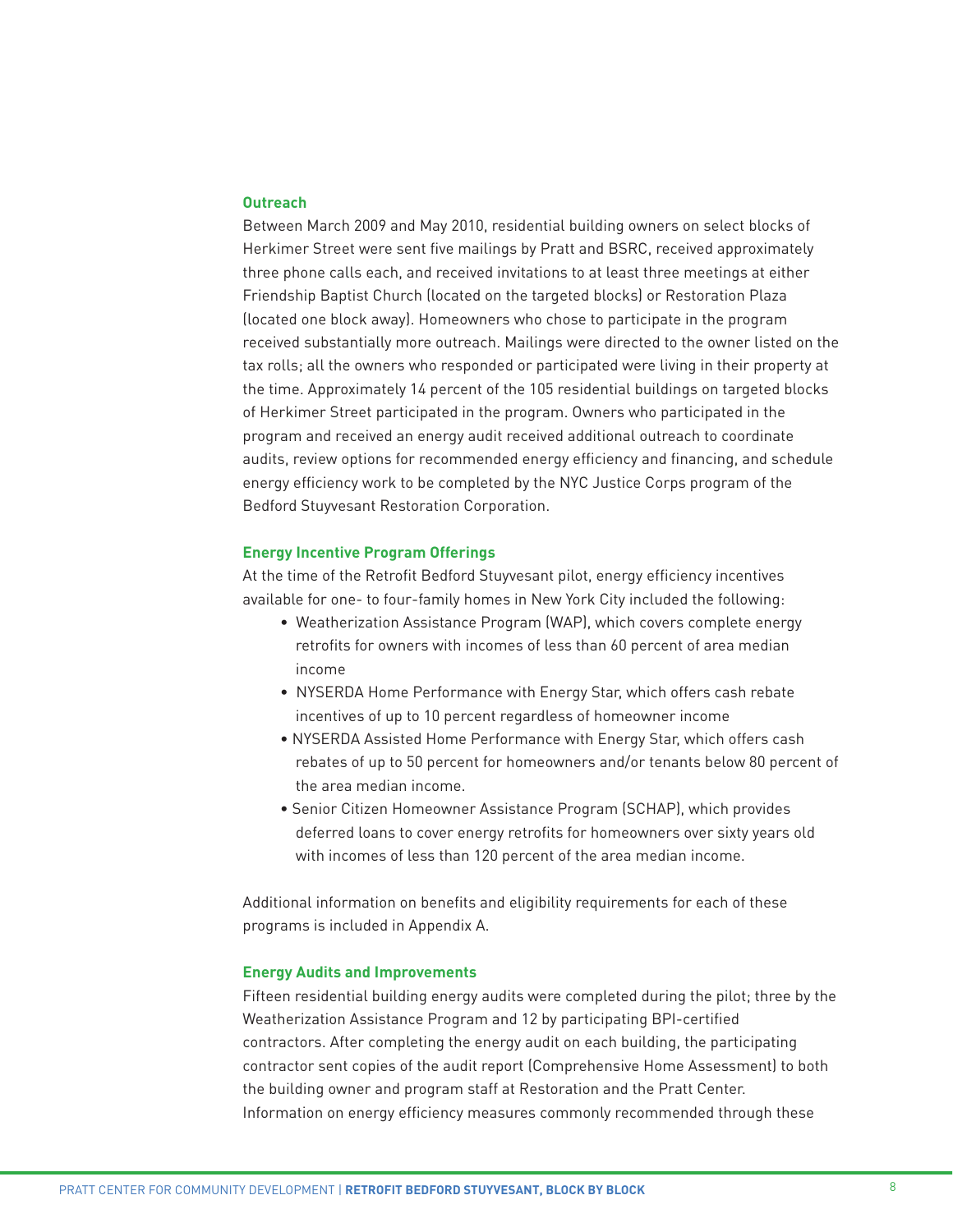#### **Outreach**

Between March 2009 and May 2010, residential building owners on select blocks of Herkimer Street were sent five mailings by Pratt and BSRC, received approximately three phone calls each, and received invitations to at least three meetings at either Friendship Baptist Church (located on the targeted blocks) or Restoration Plaza (located one block away). Homeowners who chose to participate in the program received substantially more outreach. Mailings were directed to the owner listed on the tax rolls; all the owners who responded or participated were living in their property at the time. Approximately 14 percent of the 105 residential buildings on targeted blocks of Herkimer Street participated in the program. Owners who participated in the program and received an energy audit received additional outreach to coordinate audits, review options for recommended energy efficiency and financing, and schedule energy efficiency work to be completed by the NYC Justice Corps program of the Bedford Stuyvesant Restoration Corporation.

#### **Energy Incentive Program Offerings**

At the time of the Retrofit Bedford Stuyvesant pilot, energy efficiency incentives available for one- to four-family homes in New York City included the following:

- Weatherization Assistance Program (WAP), which covers complete energy retrofits for owners with incomes of less than 60 percent of area median income
- NYSERDA Home Performance with Energy Star, which offers cash rebate incentives of up to 10 percent regardless of homeowner income
- NYSERDA Assisted Home Performance with Energy Star, which offers cash rebates of up to 50 percent for homeowners and/or tenants below 80 percent of the area median income.
- Senior Citizen Homeowner Assistance Program (SCHAP), which provides deferred loans to cover energy retrofits for homeowners over sixty years old with incomes of less than 120 percent of the area median income.

Additional information on benefits and eligibility requirements for each of these programs is included in Appendix A.

#### **Energy Audits and Improvements**

Fifteen residential building energy audits were completed during the pilot; three by the Weatherization Assistance Program and 12 by participating BPI-certified contractors. After completing the energy audit on each building, the participating contractor sent copies of the audit report (Comprehensive Home Assessment) to both the building owner and program staff at Restoration and the Pratt Center. Information on energy efficiency measures commonly recommended through these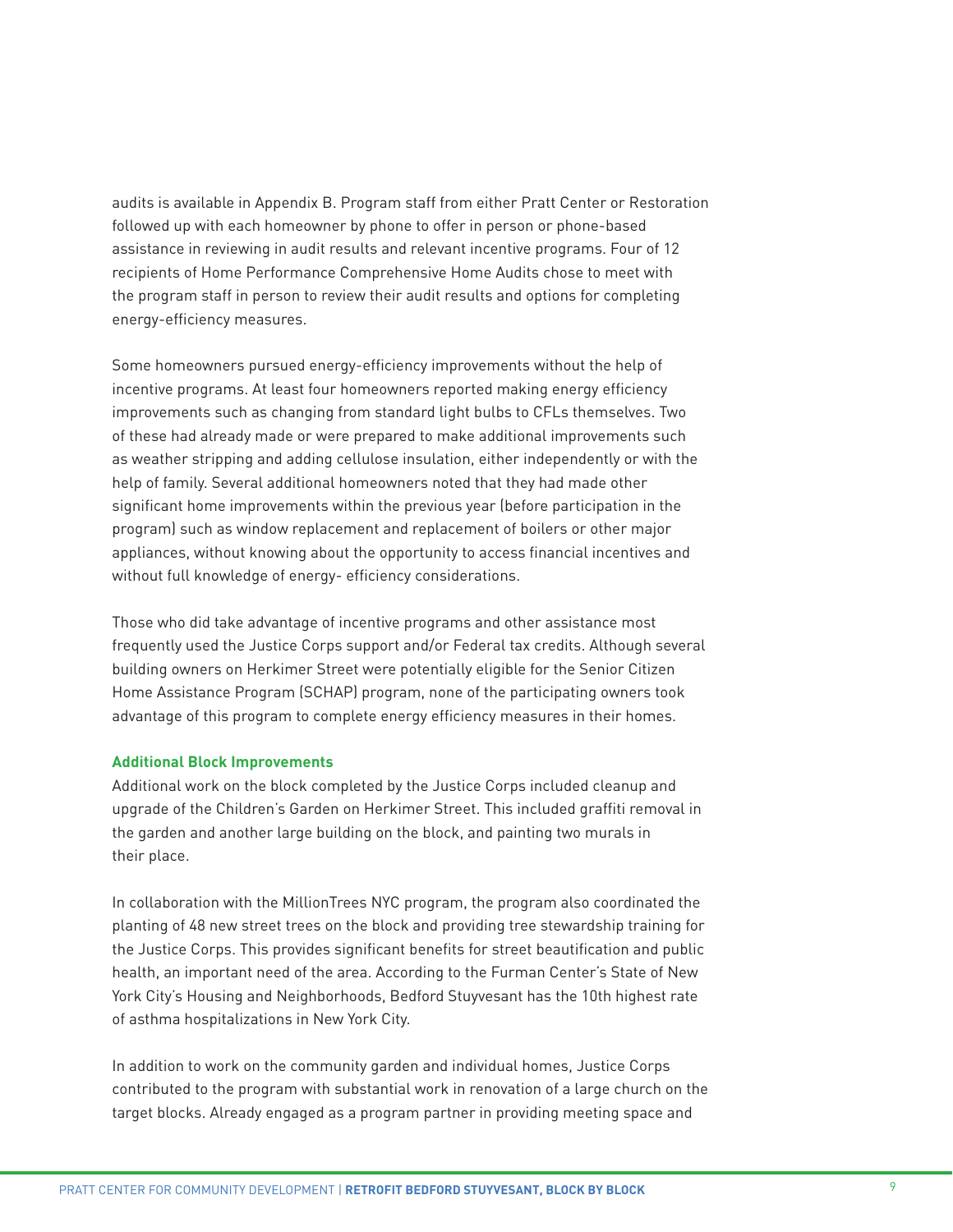audits is available in Appendix B. Program staff from either Pratt Center or Restoration followed up with each homeowner by phone to offer in person or phone-based assistance in reviewing in audit results and relevant incentive programs. Four of 12 recipients of Home Performance Comprehensive Home Audits chose to meet with the program staff in person to review their audit results and options for completing energy-efficiency measures.

Some homeowners pursued energy-efficiency improvements without the help of incentive programs. At least four homeowners reported making energy efficiency improvements such as changing from standard light bulbs to CFLs themselves. Two of these had already made or were prepared to make additional improvements such as weather stripping and adding cellulose insulation, either independently or with the help of family. Several additional homeowners noted that they had made other significant home improvements within the previous year (before participation in the program) such as window replacement and replacement of boilers or other major appliances, without knowing about the opportunity to access financial incentives and without full knowledge of energy- efficiency considerations.

Those who did take advantage of incentive programs and other assistance most frequently used the Justice Corps support and/or Federal tax credits. Although several building owners on Herkimer Street were potentially eligible for the Senior Citizen Home Assistance Program (SCHAP) program, none of the participating owners took advantage of this program to complete energy efficiency measures in their homes.

#### **Additional Block Improvements**

Additional work on the block completed by the Justice Corps included cleanup and upgrade of the Children's Garden on Herkimer Street. This included graffiti removal in the garden and another large building on the block, and painting two murals in their place.

In collaboration with the MillionTrees NYC program, the program also coordinated the planting of 48 new street trees on the block and providing tree stewardship training for the Justice Corps. This provides significant benefits for street beautification and public health, an important need of the area. According to the Furman Center's State of New York City's Housing and Neighborhoods, Bedford Stuyvesant has the 10th highest rate of asthma hospitalizations in New York City.

In addition to work on the community garden and individual homes, Justice Corps contributed to the program with substantial work in renovation of a large church on the target blocks. Already engaged as a program partner in providing meeting space and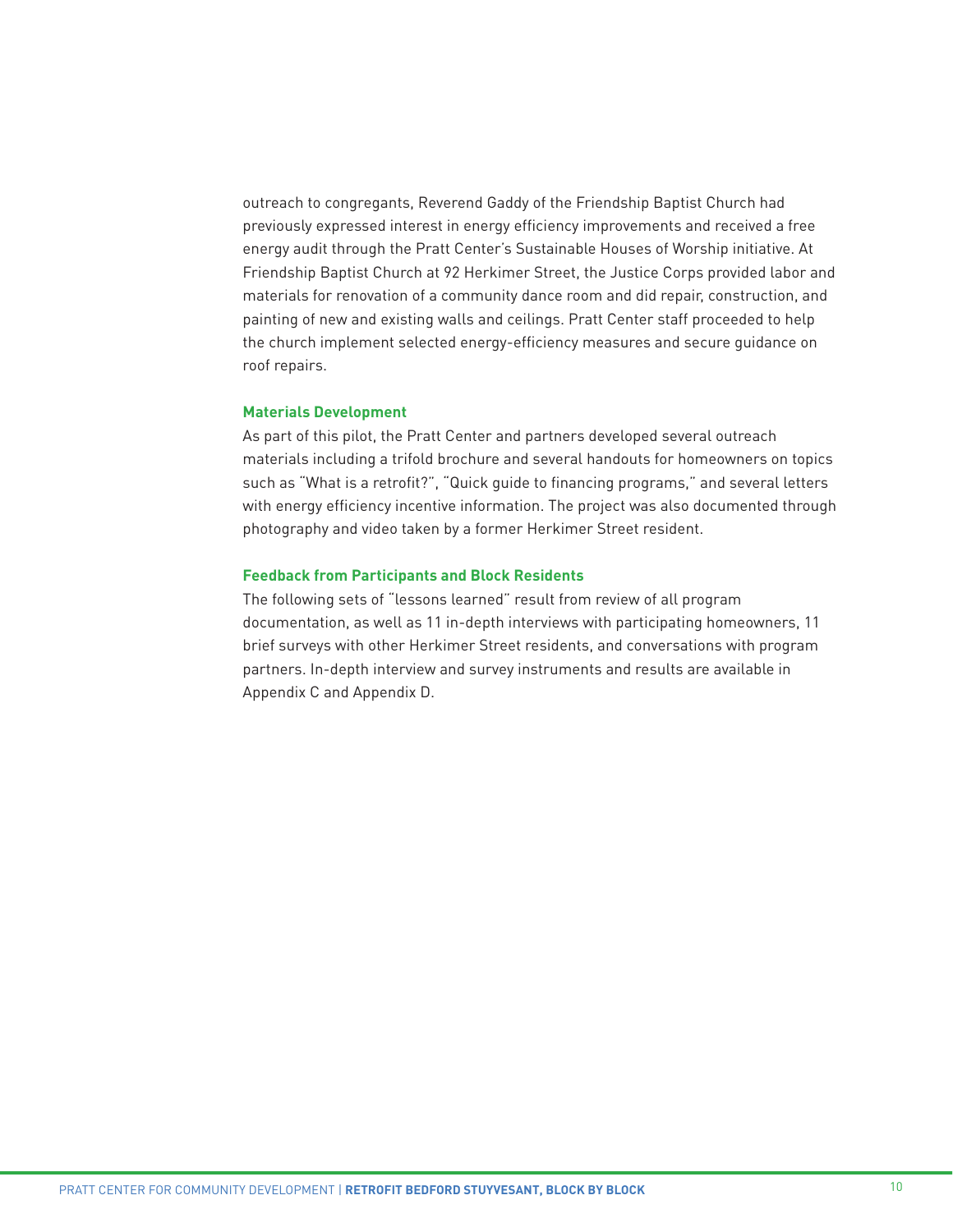outreach to congregants, Reverend Gaddy of the Friendship Baptist Church had previously expressed interest in energy efficiency improvements and received a free energy audit through the Pratt Center's Sustainable Houses of Worship initiative. At Friendship Baptist Church at 92 Herkimer Street, the Justice Corps provided labor and materials for renovation of a community dance room and did repair, construction, and painting of new and existing walls and ceilings. Pratt Center staff proceeded to help the church implement selected energy-efficiency measures and secure guidance on roof repairs.

# **Materials Development**

As part of this pilot, the Pratt Center and partners developed several outreach materials including a trifold brochure and several handouts for homeowners on topics such as "What is a retrofit?", "Quick guide to financing programs," and several letters with energy efficiency incentive information. The project was also documented through photography and video taken by a former Herkimer Street resident.

#### **Feedback from Participants and Block Residents**

The following sets of "lessons learned" result from review of all program documentation, as well as 11 in-depth interviews with participating homeowners, 11 brief surveys with other Herkimer Street residents, and conversations with program partners. In-depth interview and survey instruments and results are available in Appendix C and Appendix D.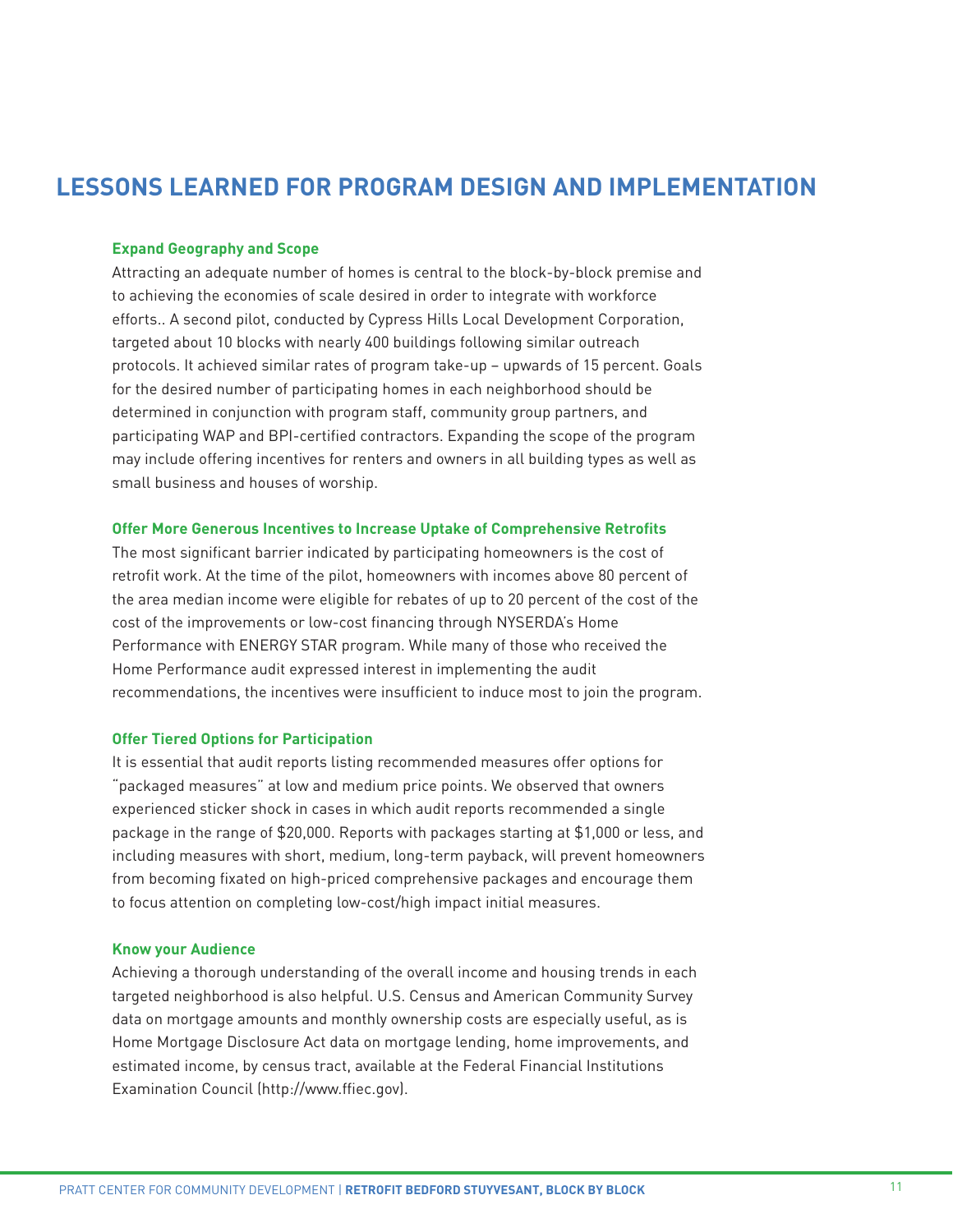# **LESSONS LEARNED FOR PROGRAM DESIGN AND IMPLEMENTATION**

# **Expand Geography and Scope**

Attracting an adequate number of homes is central to the block-by-block premise and to achieving the economies of scale desired in order to integrate with workforce efforts.. A second pilot, conducted by Cypress Hills Local Development Corporation, targeted about 10 blocks with nearly 400 buildings following similar outreach protocols. It achieved similar rates of program take-up – upwards of 15 percent. Goals for the desired number of participating homes in each neighborhood should be determined in conjunction with program staff, community group partners, and participating WAP and BPI-certified contractors. Expanding the scope of the program may include offering incentives for renters and owners in all building types as well as small business and houses of worship.

#### **Offer More Generous Incentives to Increase Uptake of Comprehensive Retrofits**

The most significant barrier indicated by participating homeowners is the cost of retrofit work. At the time of the pilot, homeowners with incomes above 80 percent of the area median income were eligible for rebates of up to 20 percent of the cost of the cost of the improvements or low-cost financing through NYSERDA's Home Performance with ENERGY STAR program. While many of those who received the Home Performance audit expressed interest in implementing the audit recommendations, the incentives were insufficient to induce most to join the program.

# **Offer Tiered Options for Participation**

It is essential that audit reports listing recommended measures offer options for "packaged measures" at low and medium price points. We observed that owners experienced sticker shock in cases in which audit reports recommended a single package in the range of \$20,000. Reports with packages starting at \$1,000 or less, and including measures with short, medium, long-term payback, will prevent homeowners from becoming fixated on high-priced comprehensive packages and encourage them to focus attention on completing low-cost/high impact initial measures.

## **Know your Audience**

Achieving a thorough understanding of the overall income and housing trends in each targeted neighborhood is also helpful. U.S. Census and American Community Survey data on mortgage amounts and monthly ownership costs are especially useful, as is Home Mortgage Disclosure Act data on mortgage lending, home improvements, and estimated income, by census tract, available at the Federal Financial Institutions Examination Council [\(http://www.ffiec.gov\)](http://www.ffiec.gov).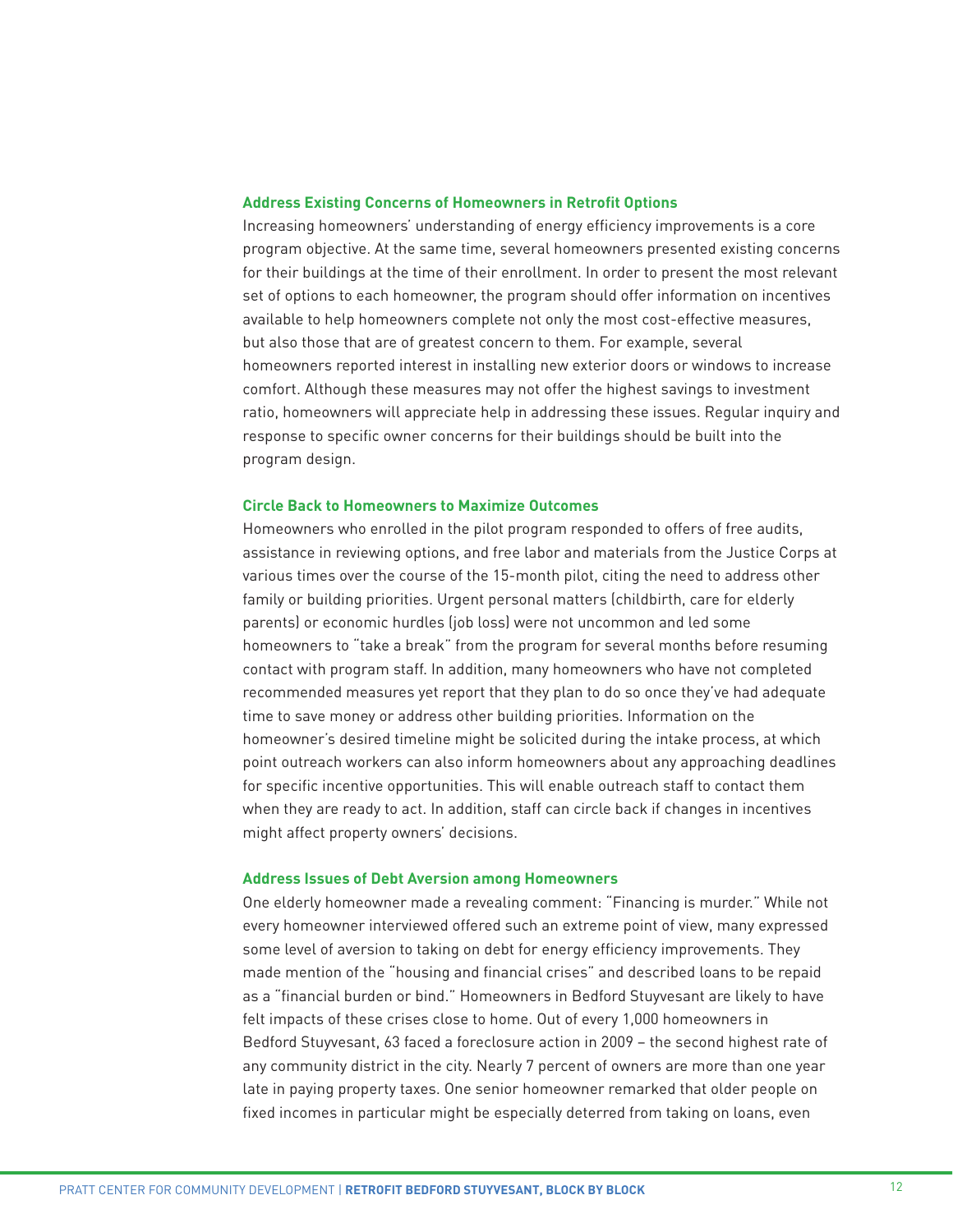#### **Address Existing Concerns of Homeowners in Retrofit Options**

Increasing homeowners' understanding of energy efficiency improvements is a core program objective. At the same time, several homeowners presented existing concerns for their buildings at the time of their enrollment. In order to present the most relevant set of options to each homeowner, the program should offer information on incentives available to help homeowners complete not only the most cost-effective measures, but also those that are of greatest concern to them. For example, several homeowners reported interest in installing new exterior doors or windows to increase comfort. Although these measures may not offer the highest savings to investment ratio, homeowners will appreciate help in addressing these issues. Regular inquiry and response to specific owner concerns for their buildings should be built into the program design.

#### **Circle Back to Homeowners to Maximize Outcomes**

Homeowners who enrolled in the pilot program responded to offers of free audits, assistance in reviewing options, and free labor and materials from the Justice Corps at various times over the course of the 15-month pilot, citing the need to address other family or building priorities. Urgent personal matters (childbirth, care for elderly parents) or economic hurdles (job loss) were not uncommon and led some homeowners to "take a break" from the program for several months before resuming contact with program staff. In addition, many homeowners who have not completed recommended measures yet report that they plan to do so once they've had adequate time to save money or address other building priorities. Information on the homeowner's desired timeline might be solicited during the intake process, at which point outreach workers can also inform homeowners about any approaching deadlines for specific incentive opportunities. This will enable outreach staff to contact them when they are ready to act. In addition, staff can circle back if changes in incentives might affect property owners' decisions.

#### **Address Issues of Debt Aversion among Homeowners**

One elderly homeowner made a revealing comment: "Financing is murder." While not every homeowner interviewed offered such an extreme point of view, many expressed some level of aversion to taking on debt for energy efficiency improvements. They made mention of the "housing and financial crises" and described loans to be repaid as a "financial burden or bind." Homeowners in Bedford Stuyvesant are likely to have felt impacts of these crises close to home. Out of every 1,000 homeowners in Bedford Stuyvesant, 63 faced a foreclosure action in 2009 – the second highest rate of any community district in the city. Nearly 7 percent of owners are more than one year late in paying property taxes. One senior homeowner remarked that older people on fixed incomes in particular might be especially deterred from taking on loans, even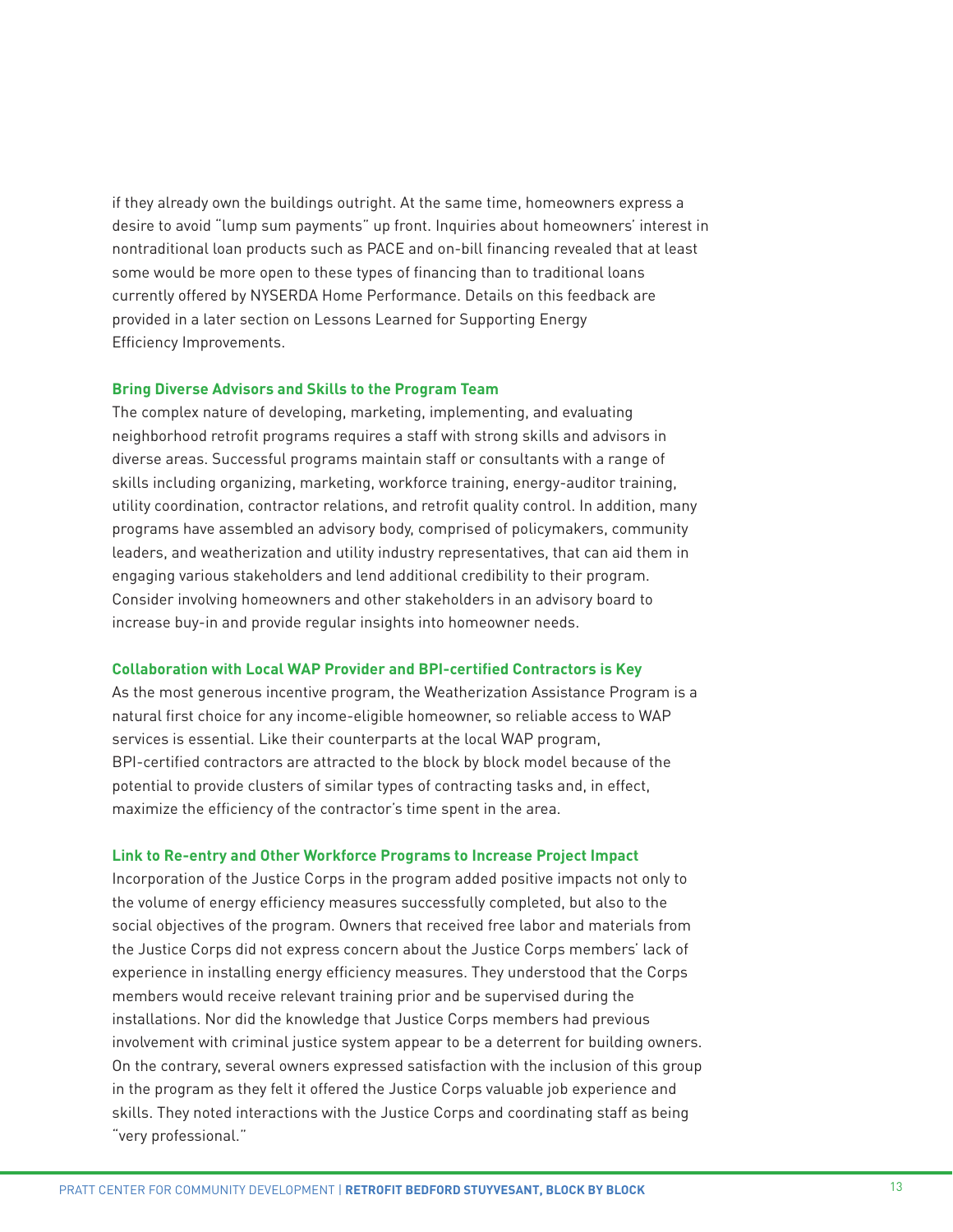if they already own the buildings outright. At the same time, homeowners express a desire to avoid "lump sum payments" up front. Inquiries about homeowners' interest in nontraditional loan products such as PACE and on-bill financing revealed that at least some would be more open to these types of financing than to traditional loans currently offered by NYSERDA Home Performance. Details on this feedback are provided in a later section on Lessons Learned for Supporting Energy Efficiency Improvements.

#### **Bring Diverse Advisors and Skills to the Program Team**

The complex nature of developing, marketing, implementing, and evaluating neighborhood retrofit programs requires a staff with strong skills and advisors in diverse areas. Successful programs maintain staff or consultants with a range of skills including organizing, marketing, workforce training, energy-auditor training, utility coordination, contractor relations, and retrofit quality control. In addition, many programs have assembled an advisory body, comprised of policymakers, community leaders, and weatherization and utility industry representatives, that can aid them in engaging various stakeholders and lend additional credibility to their program. Consider involving homeowners and other stakeholders in an advisory board to increase buy-in and provide regular insights into homeowner needs.

#### **Collaboration with Local WAP Provider and BPI-certified Contractors is Key**

As the most generous incentive program, the Weatherization Assistance Program is a natural first choice for any income-eligible homeowner, so reliable access to WAP services is essential. Like their counterparts at the local WAP program, BPI-certified contractors are attracted to the block by block model because of the potential to provide clusters of similar types of contracting tasks and, in effect, maximize the efficiency of the contractor's time spent in the area.

#### **Link to Re-entry and Other Workforce Programs to Increase Project Impact**

Incorporation of the Justice Corps in the program added positive impacts not only to the volume of energy efficiency measures successfully completed, but also to the social objectives of the program. Owners that received free labor and materials from the Justice Corps did not express concern about the Justice Corps members' lack of experience in installing energy efficiency measures. They understood that the Corps members would receive relevant training prior and be supervised during the installations. Nor did the knowledge that Justice Corps members had previous involvement with criminal justice system appear to be a deterrent for building owners. On the contrary, several owners expressed satisfaction with the inclusion of this group in the program as they felt it offered the Justice Corps valuable job experience and skills. They noted interactions with the Justice Corps and coordinating staff as being "very professional."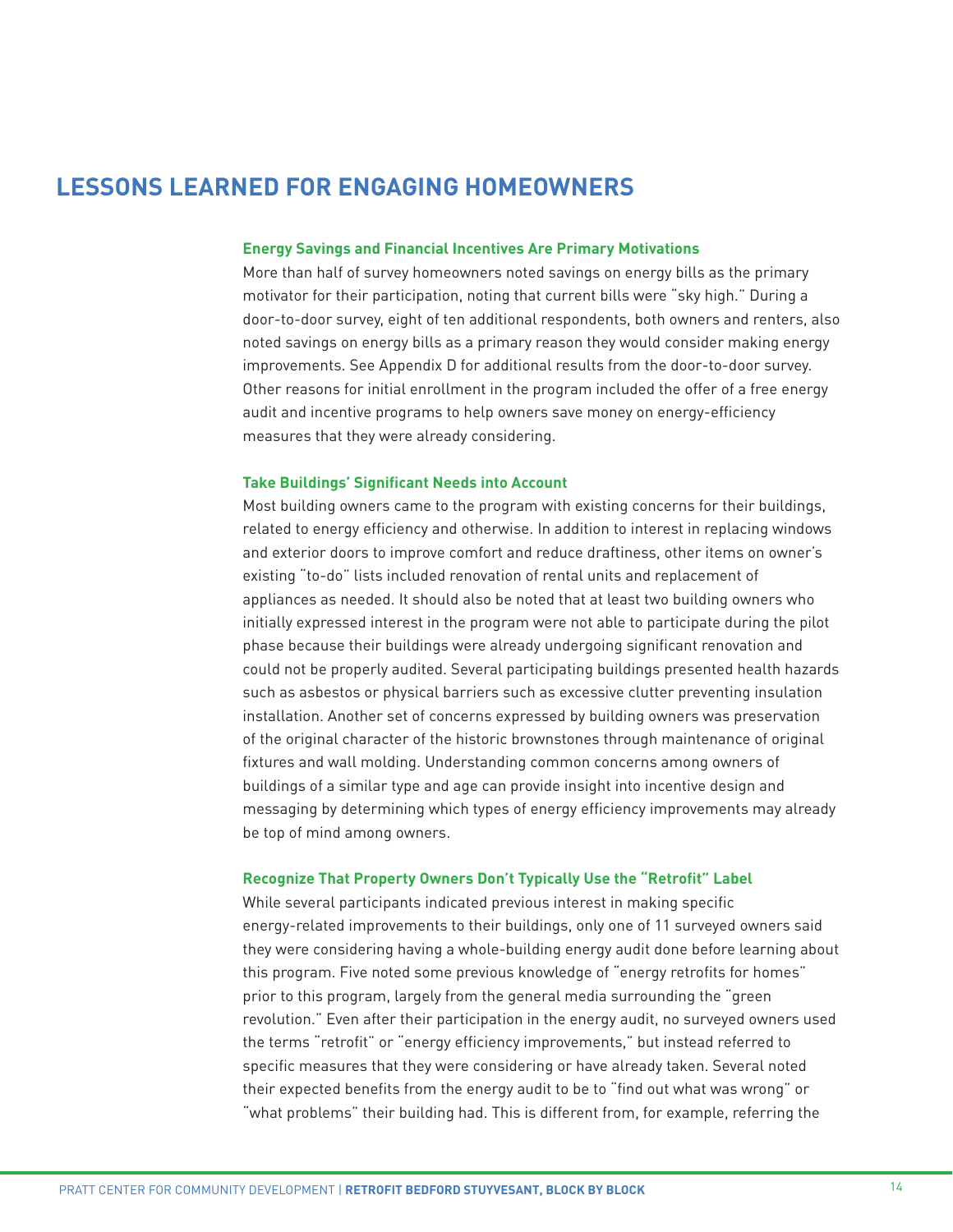# **LESSONS LEARNED FOR ENGAGING HOMEOWNERS**

#### **Energy Savings and Financial Incentives Are Primary Motivations**

More than half of survey homeowners noted savings on energy bills as the primary motivator for their participation, noting that current bills were "sky high." During a door-to-door survey, eight of ten additional respondents, both owners and renters, also noted savings on energy bills as a primary reason they would consider making energy improvements. See Appendix D for additional results from the door-to-door survey. Other reasons for initial enrollment in the program included the offer of a free energy audit and incentive programs to help owners save money on energy-efficiency measures that they were already considering.

#### **Take Buildings' Significant Needs into Account**

Most building owners came to the program with existing concerns for their buildings, related to energy efficiency and otherwise. In addition to interest in replacing windows and exterior doors to improve comfort and reduce draftiness, other items on owner's existing "to-do" lists included renovation of rental units and replacement of appliances as needed. It should also be noted that at least two building owners who initially expressed interest in the program were not able to participate during the pilot phase because their buildings were already undergoing significant renovation and could not be properly audited. Several participating buildings presented health hazards such as asbestos or physical barriers such as excessive clutter preventing insulation installation. Another set of concerns expressed by building owners was preservation of the original character of the historic brownstones through maintenance of original fixtures and wall molding. Understanding common concerns among owners of buildings of a similar type and age can provide insight into incentive design and messaging by determining which types of energy efficiency improvements may already be top of mind among owners.

#### **Recognize That Property Owners Don't Typically Use the "Retrofit" Label**

While several participants indicated previous interest in making specific energy-related improvements to their buildings, only one of 11 surveyed owners said they were considering having a whole-building energy audit done before learning about this program. Five noted some previous knowledge of "energy retrofits for homes" prior to this program, largely from the general media surrounding the "green revolution." Even after their participation in the energy audit, no surveyed owners used the terms "retrofit" or "energy efficiency improvements," but instead referred to specific measures that they were considering or have already taken. Several noted their expected benefits from the energy audit to be to "find out what was wrong" or "what problems" their building had. This is different from, for example, referring the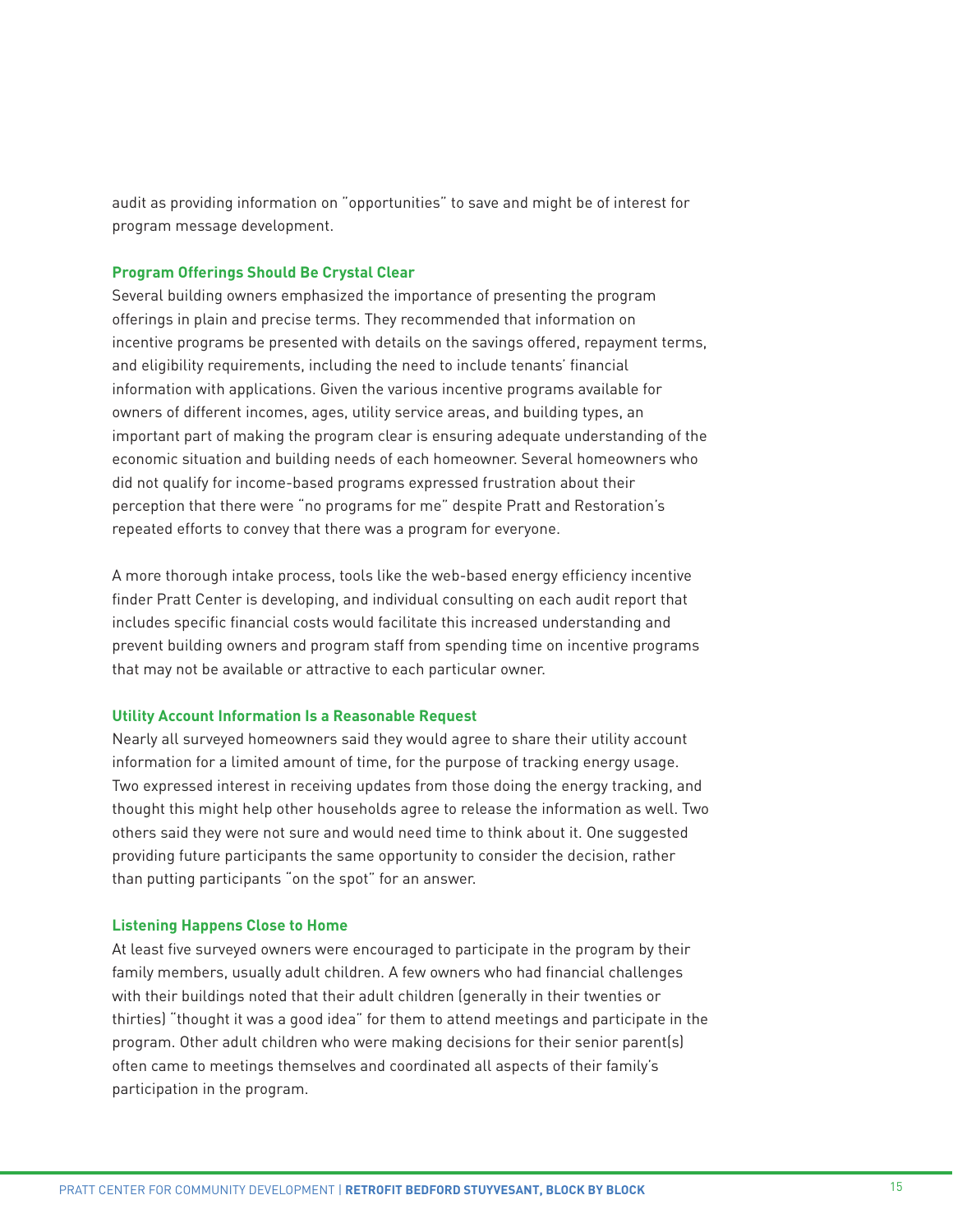audit as providing information on "opportunities" to save and might be of interest for program message development.

#### **Program Offerings Should Be Crystal Clear**

Several building owners emphasized the importance of presenting the program offerings in plain and precise terms. They recommended that information on incentive programs be presented with details on the savings offered, repayment terms, and eligibility requirements, including the need to include tenants' financial information with applications. Given the various incentive programs available for owners of different incomes, ages, utility service areas, and building types, an important part of making the program clear is ensuring adequate understanding of the economic situation and building needs of each homeowner. Several homeowners who did not qualify for income-based programs expressed frustration about their perception that there were "no programs for me" despite Pratt and Restoration's repeated efforts to convey that there was a program for everyone.

A more thorough intake process, tools like the web-based energy efficiency incentive finder Pratt Center is developing, and individual consulting on each audit report that includes specific financial costs would facilitate this increased understanding and prevent building owners and program staff from spending time on incentive programs that may not be available or attractive to each particular owner.

#### **Utility Account Information Is a Reasonable Request**

Nearly all surveyed homeowners said they would agree to share their utility account information for a limited amount of time, for the purpose of tracking energy usage. Two expressed interest in receiving updates from those doing the energy tracking, and thought this might help other households agree to release the information as well. Two others said they were not sure and would need time to think about it. One suggested providing future participants the same opportunity to consider the decision, rather than putting participants "on the spot" for an answer.

## **Listening Happens Close to Home**

At least five surveyed owners were encouraged to participate in the program by their family members, usually adult children. A few owners who had financial challenges with their buildings noted that their adult children (generally in their twenties or thirties) "thought it was a good idea" for them to attend meetings and participate in the program. Other adult children who were making decisions for their senior parent(s) often came to meetings themselves and coordinated all aspects of their family's participation in the program.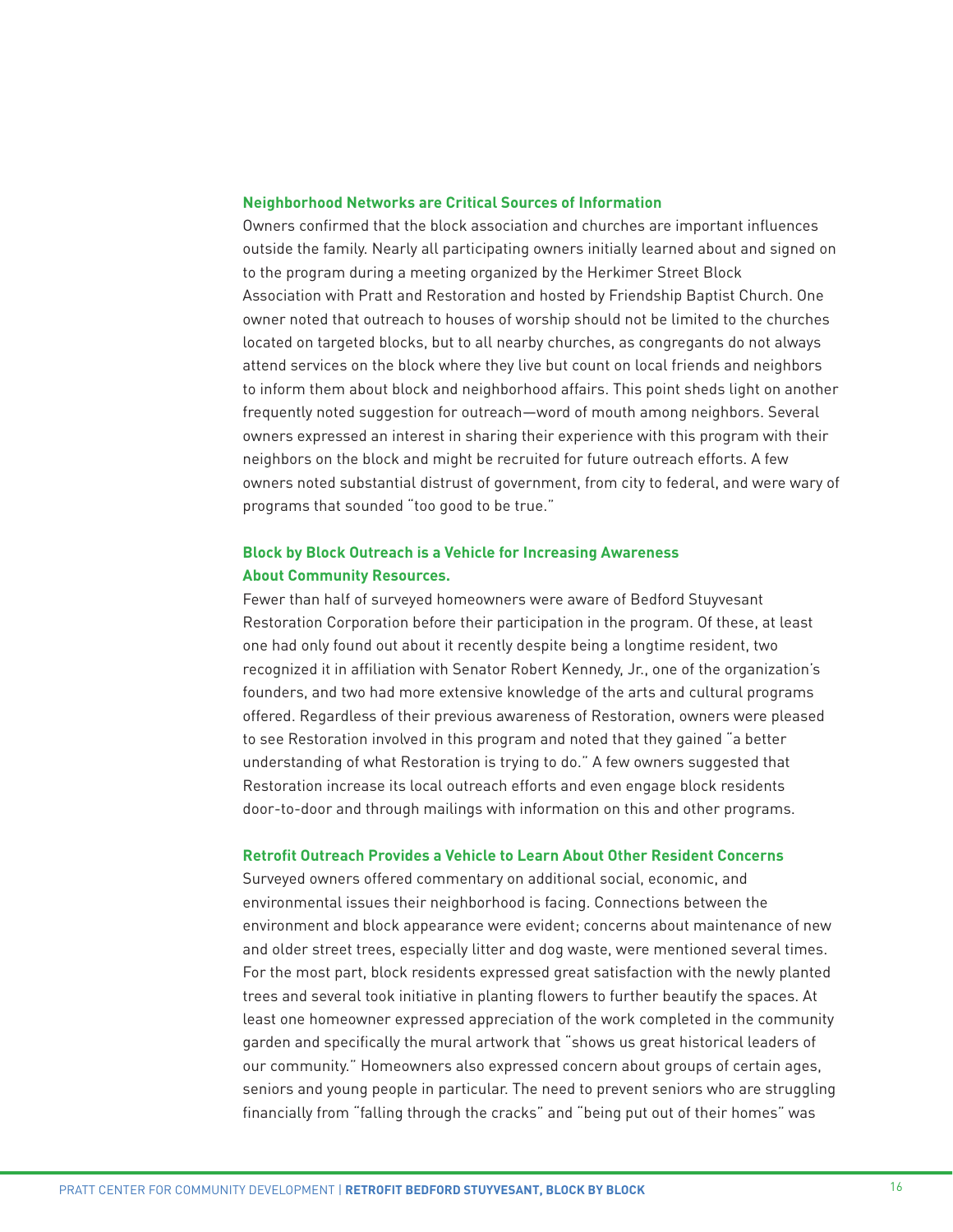#### **Neighborhood Networks are Critical Sources of Information**

Owners confirmed that the block association and churches are important influences outside the family. Nearly all participating owners initially learned about and signed on to the program during a meeting organized by the Herkimer Street Block Association with Pratt and Restoration and hosted by Friendship Baptist Church. One owner noted that outreach to houses of worship should not be limited to the churches located on targeted blocks, but to all nearby churches, as congregants do not always attend services on the block where they live but count on local friends and neighbors to inform them about block and neighborhood affairs. This point sheds light on another frequently noted suggestion for outreach—word of mouth among neighbors. Several owners expressed an interest in sharing their experience with this program with their neighbors on the block and might be recruited for future outreach efforts. A few owners noted substantial distrust of government, from city to federal, and were wary of programs that sounded "too good to be true."

# **Block by Block Outreach is a Vehicle for Increasing Awareness About Community Resources.**

Fewer than half of surveyed homeowners were aware of Bedford Stuyvesant Restoration Corporation before their participation in the program. Of these, at least one had only found out about it recently despite being a longtime resident, two recognized it in affiliation with Senator Robert Kennedy, Jr., one of the organization's founders, and two had more extensive knowledge of the arts and cultural programs offered. Regardless of their previous awareness of Restoration, owners were pleased to see Restoration involved in this program and noted that they gained "a better understanding of what Restoration is trying to do." A few owners suggested that Restoration increase its local outreach efforts and even engage block residents door-to-door and through mailings with information on this and other programs.

#### **Retrofit Outreach Provides a Vehicle to Learn About Other Resident Concerns**

Surveyed owners offered commentary on additional social, economic, and environmental issues their neighborhood is facing. Connections between the environment and block appearance were evident; concerns about maintenance of new and older street trees, especially litter and dog waste, were mentioned several times. For the most part, block residents expressed great satisfaction with the newly planted trees and several took initiative in planting flowers to further beautify the spaces. At least one homeowner expressed appreciation of the work completed in the community garden and specifically the mural artwork that "shows us great historical leaders of our community." Homeowners also expressed concern about groups of certain ages, seniors and young people in particular. The need to prevent seniors who are struggling financially from "falling through the cracks" and "being put out of their homes" was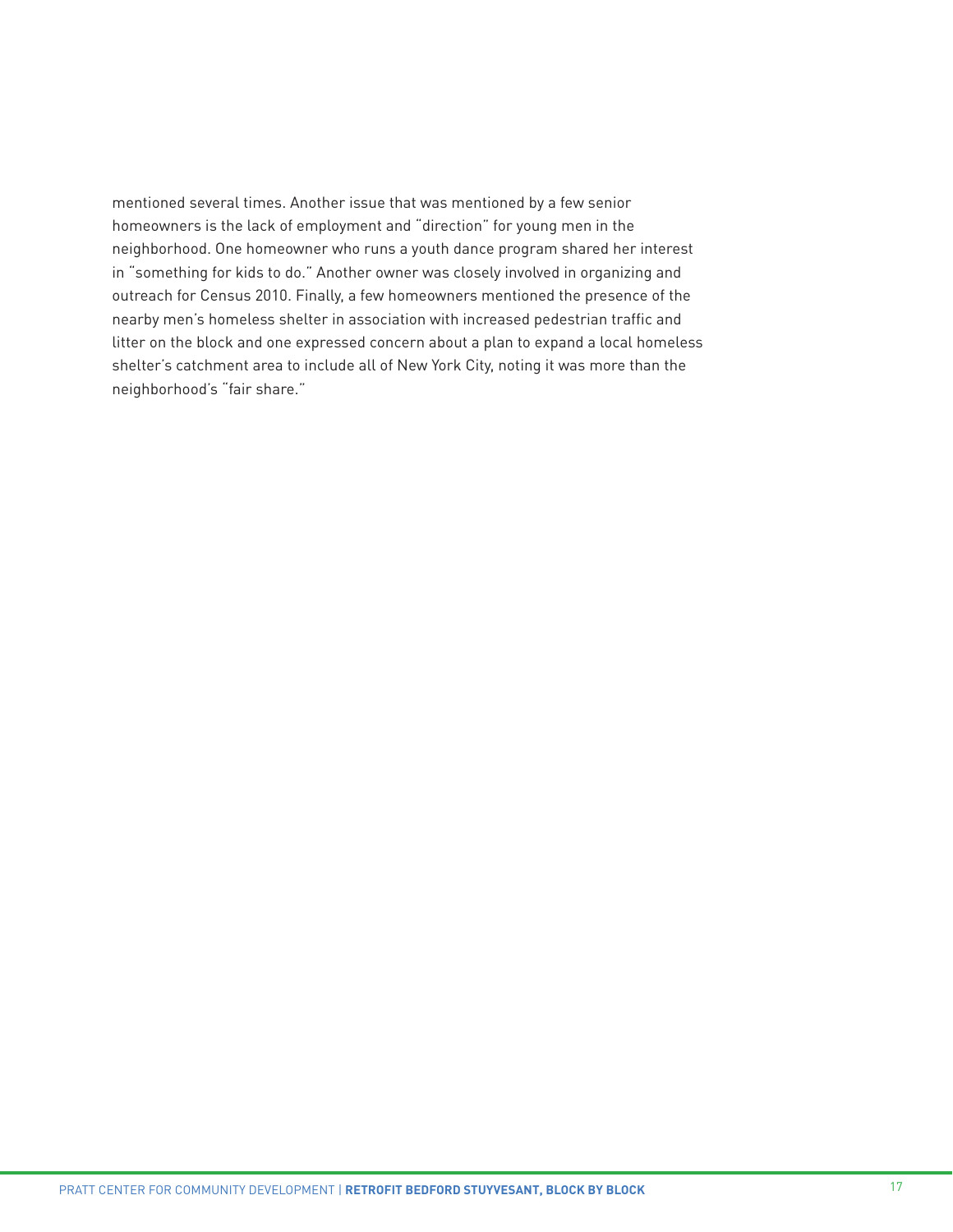mentioned several times. Another issue that was mentioned by a few senior homeowners is the lack of employment and "direction" for young men in the neighborhood. One homeowner who runs a youth dance program shared her interest in "something for kids to do." Another owner was closely involved in organizing and outreach for Census 2010. Finally, a few homeowners mentioned the presence of the nearby men's homeless shelter in association with increased pedestrian traffic and litter on the block and one expressed concern about a plan to expand a local homeless shelter's catchment area to include all of New York City, noting it was more than the neighborhood's "fair share."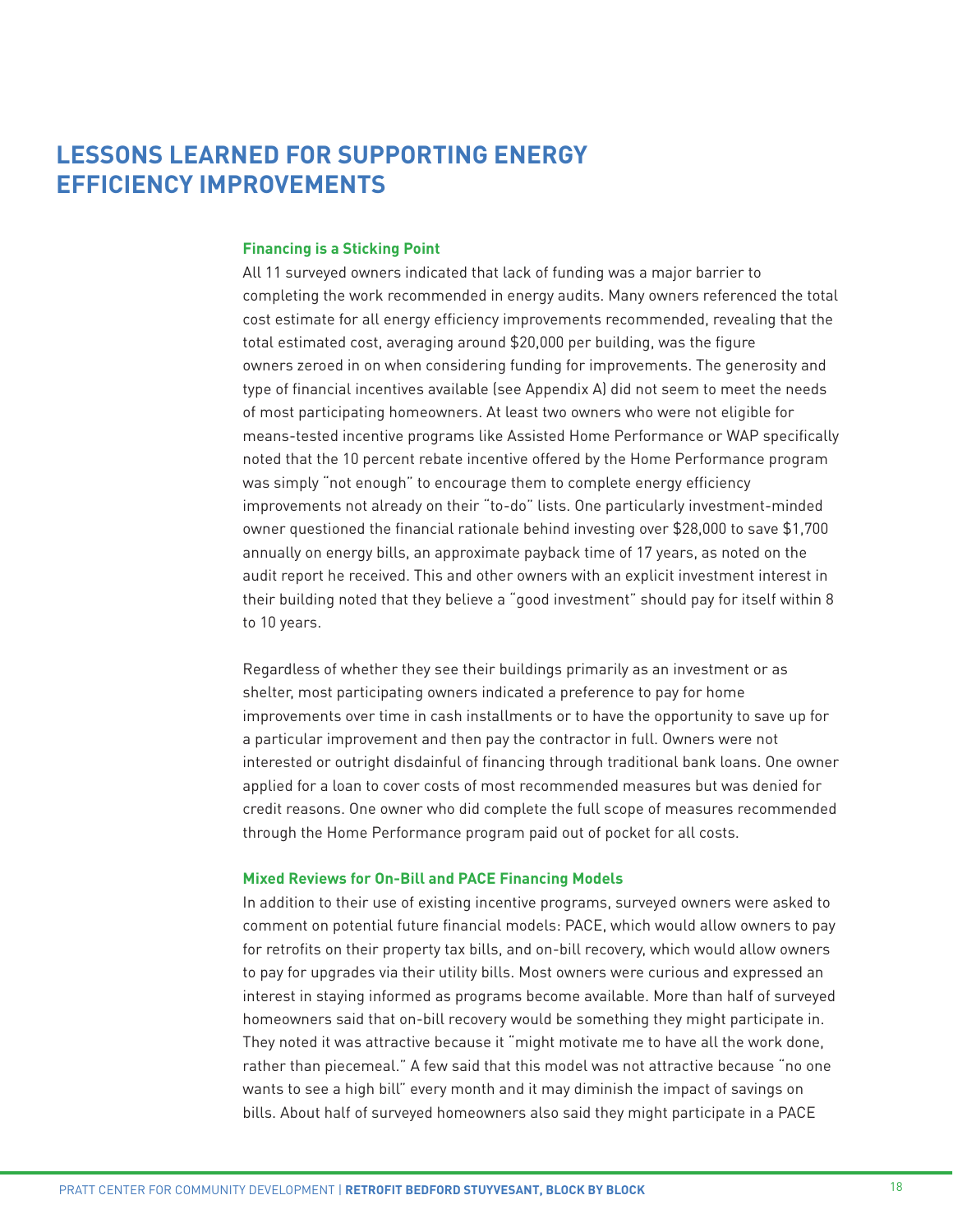# **LESSONS LEARNED FOR SUPPORTING ENERGY EFFICIENCY IMPROVEMENTS**

## **Financing is a Sticking Point**

All 11 surveyed owners indicated that lack of funding was a major barrier to completing the work recommended in energy audits. Many owners referenced the total cost estimate for all energy efficiency improvements recommended, revealing that the total estimated cost, averaging around \$20,000 per building, was the figure owners zeroed in on when considering funding for improvements. The generosity and type of financial incentives available (see Appendix A) did not seem to meet the needs of most participating homeowners. At least two owners who were not eligible for means-tested incentive programs like Assisted Home Performance or WAP specifically noted that the 10 percent rebate incentive offered by the Home Performance program was simply "not enough" to encourage them to complete energy efficiency improvements not already on their "to-do" lists. One particularly investment-minded owner questioned the financial rationale behind investing over \$28,000 to save \$1,700 annually on energy bills, an approximate payback time of 17 years, as noted on the audit report he received. This and other owners with an explicit investment interest in their building noted that they believe a "good investment" should pay for itself within 8 to 10 years.

Regardless of whether they see their buildings primarily as an investment or as shelter, most participating owners indicated a preference to pay for home improvements over time in cash installments or to have the opportunity to save up for a particular improvement and then pay the contractor in full. Owners were not interested or outright disdainful of financing through traditional bank loans. One owner applied for a loan to cover costs of most recommended measures but was denied for credit reasons. One owner who did complete the full scope of measures recommended through the Home Performance program paid out of pocket for all costs.

#### **Mixed Reviews for On-Bill and PACE Financing Models**

In addition to their use of existing incentive programs, surveyed owners were asked to comment on potential future financial models: PACE, which would allow owners to pay for retrofits on their property tax bills, and on-bill recovery, which would allow owners to pay for upgrades via their utility bills. Most owners were curious and expressed an interest in staying informed as programs become available. More than half of surveyed homeowners said that on-bill recovery would be something they might participate in. They noted it was attractive because it "might motivate me to have all the work done, rather than piecemeal." A few said that this model was not attractive because "no one wants to see a high bill" every month and it may diminish the impact of savings on bills. About half of surveyed homeowners also said they might participate in a PACE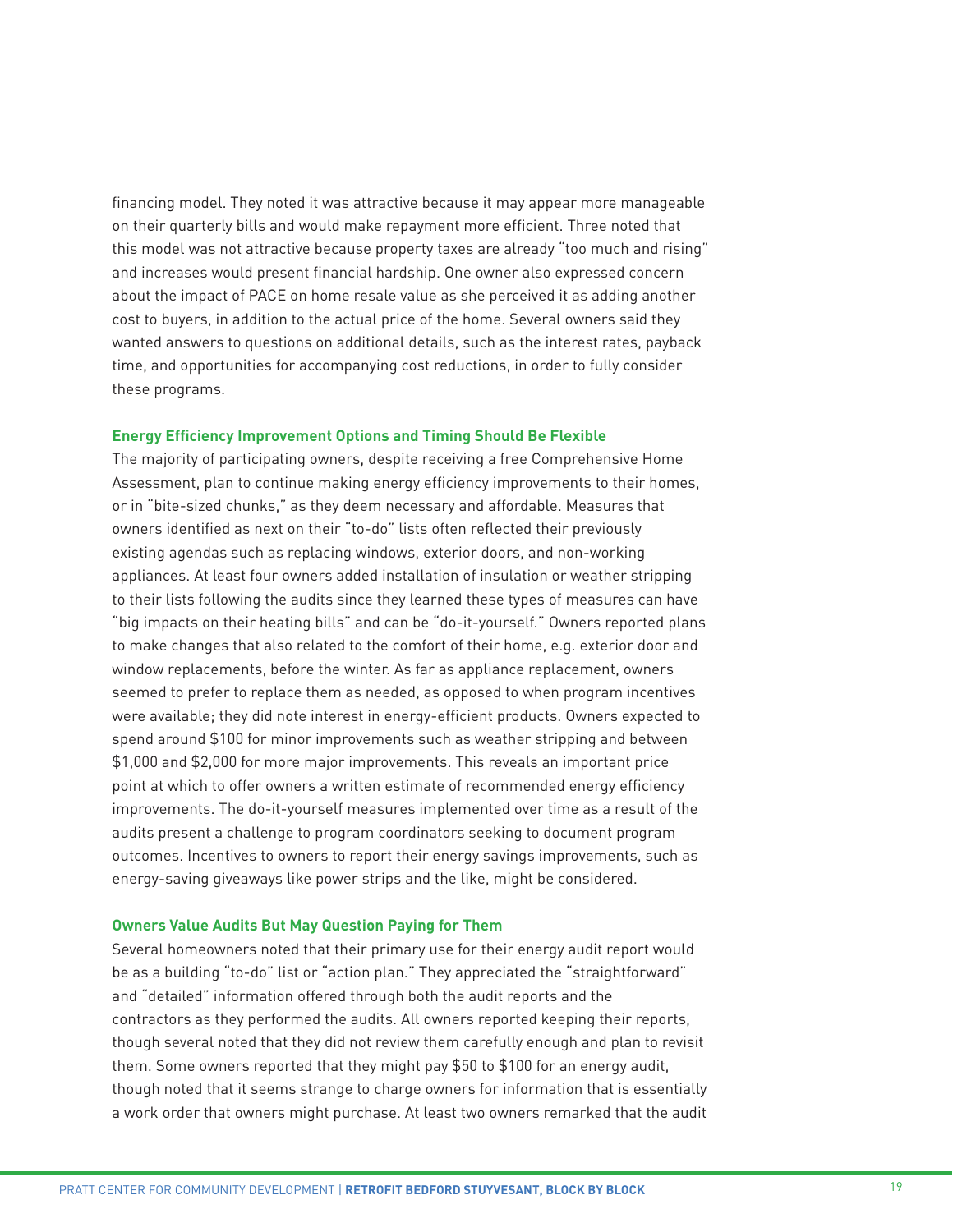financing model. They noted it was attractive because it may appear more manageable on their quarterly bills and would make repayment more efficient. Three noted that this model was not attractive because property taxes are already "too much and rising" and increases would present financial hardship. One owner also expressed concern about the impact of PACE on home resale value as she perceived it as adding another cost to buyers, in addition to the actual price of the home. Several owners said they wanted answers to questions on additional details, such as the interest rates, payback time, and opportunities for accompanying cost reductions, in order to fully consider these programs.

#### **Energy Efficiency Improvement Options and Timing Should Be Flexible**

The majority of participating owners, despite receiving a free Comprehensive Home Assessment, plan to continue making energy efficiency improvements to their homes, or in "bite-sized chunks," as they deem necessary and affordable. Measures that owners identified as next on their "to-do" lists often reflected their previously existing agendas such as replacing windows, exterior doors, and non-working appliances. At least four owners added installation of insulation or weather stripping to their lists following the audits since they learned these types of measures can have "big impacts on their heating bills" and can be "do-it-yourself." Owners reported plans to make changes that also related to the comfort of their home, e.g. exterior door and window replacements, before the winter. As far as appliance replacement, owners seemed to prefer to replace them as needed, as opposed to when program incentives were available; they did note interest in energy-efficient products. Owners expected to spend around \$100 for minor improvements such as weather stripping and between \$1,000 and \$2,000 for more major improvements. This reveals an important price point at which to offer owners a written estimate of recommended energy efficiency improvements. The do-it-yourself measures implemented over time as a result of the audits present a challenge to program coordinators seeking to document program outcomes. Incentives to owners to report their energy savings improvements, such as energy-saving giveaways like power strips and the like, might be considered.

#### **Owners Value Audits But May Question Paying for Them**

Several homeowners noted that their primary use for their energy audit report would be as a building "to-do" list or "action plan." They appreciated the "straightforward" and "detailed" information offered through both the audit reports and the contractors as they performed the audits. All owners reported keeping their reports, though several noted that they did not review them carefully enough and plan to revisit them. Some owners reported that they might pay \$50 to \$100 for an energy audit, though noted that it seems strange to charge owners for information that is essentially a work order that owners might purchase. At least two owners remarked that the audit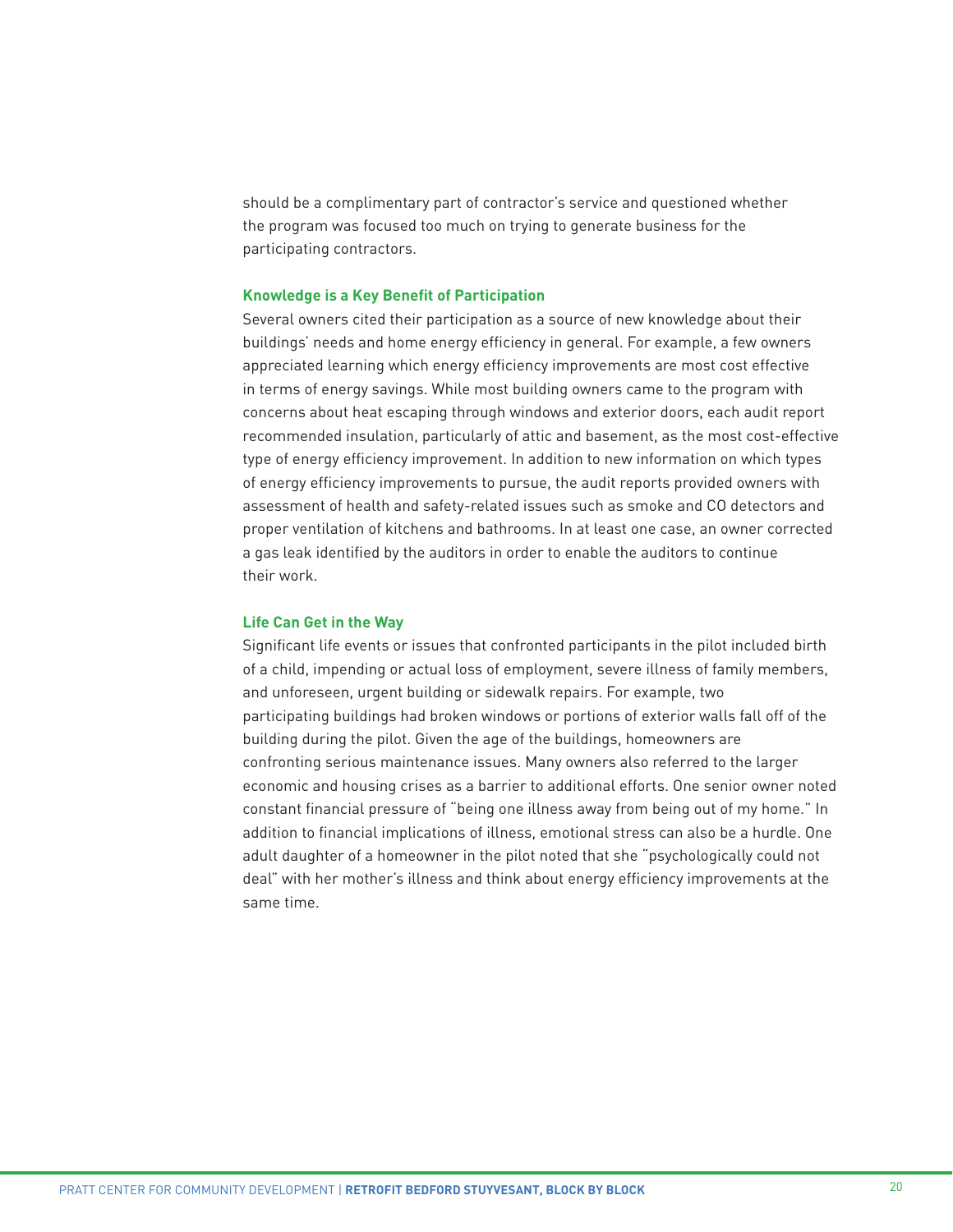should be a complimentary part of contractor's service and questioned whether the program was focused too much on trying to generate business for the participating contractors.

#### **Knowledge is a Key Benefit of Participation**

Several owners cited their participation as a source of new knowledge about their buildings' needs and home energy efficiency in general. For example, a few owners appreciated learning which energy efficiency improvements are most cost effective in terms of energy savings. While most building owners came to the program with concerns about heat escaping through windows and exterior doors, each audit report recommended insulation, particularly of attic and basement, as the most cost-effective type of energy efficiency improvement. In addition to new information on which types of energy efficiency improvements to pursue, the audit reports provided owners with assessment of health and safety-related issues such as smoke and CO detectors and proper ventilation of kitchens and bathrooms. In at least one case, an owner corrected a gas leak identified by the auditors in order to enable the auditors to continue their work.

#### **Life Can Get in the Way**

Significant life events or issues that confronted participants in the pilot included birth of a child, impending or actual loss of employment, severe illness of family members, and unforeseen, urgent building or sidewalk repairs. For example, two participating buildings had broken windows or portions of exterior walls fall off of the building during the pilot. Given the age of the buildings, homeowners are confronting serious maintenance issues. Many owners also referred to the larger economic and housing crises as a barrier to additional efforts. One senior owner noted constant financial pressure of "being one illness away from being out of my home." In addition to financial implications of illness, emotional stress can also be a hurdle. One adult daughter of a homeowner in the pilot noted that she "psychologically could not deal" with her mother's illness and think about energy efficiency improvements at the same time.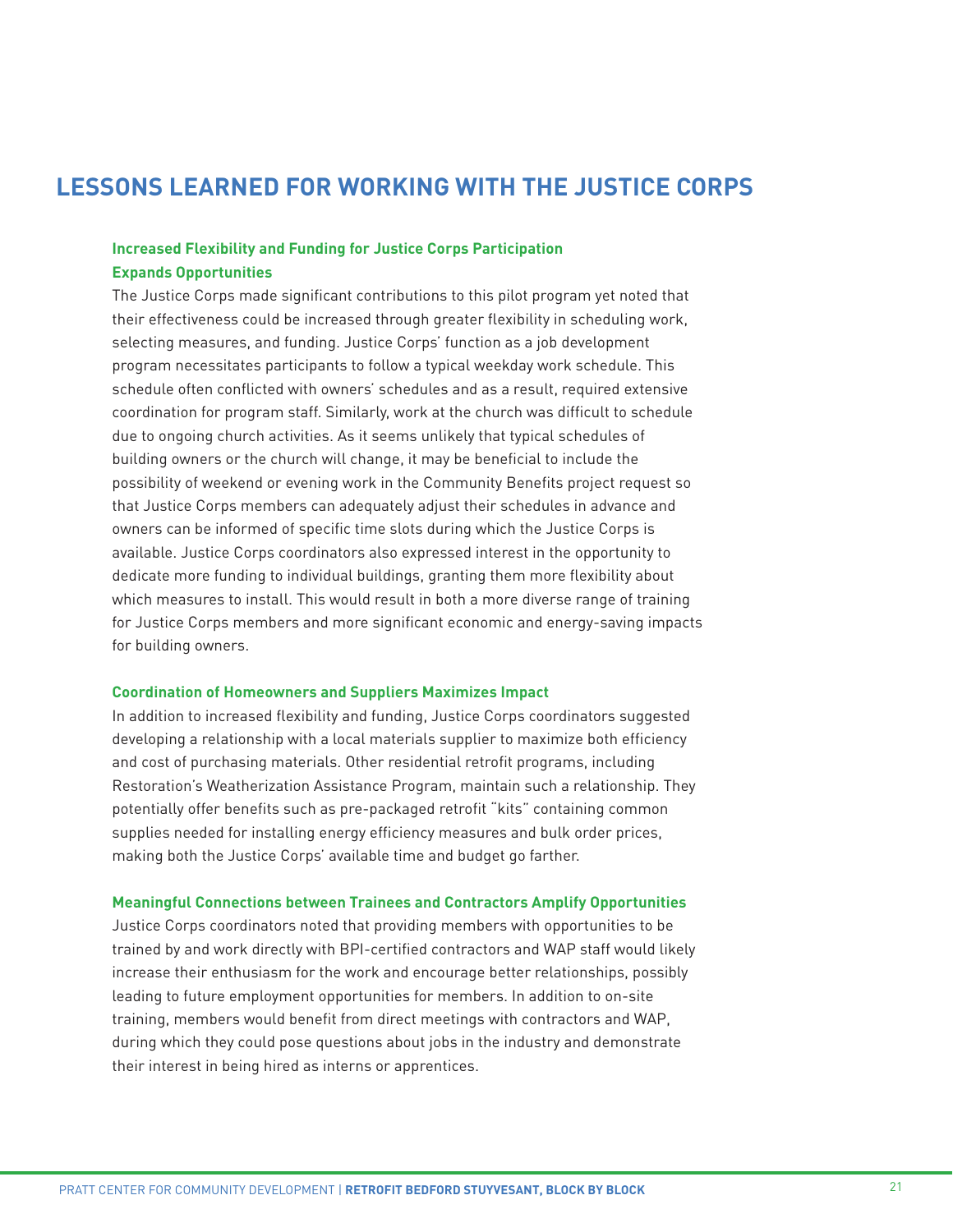# **LESSONS LEARNED FOR WORKING WITH THE JUSTICE CORPS**

# **Increased Flexibility and Funding for Justice Corps Participation Expands Opportunities**

The Justice Corps made significant contributions to this pilot program yet noted that their effectiveness could be increased through greater flexibility in scheduling work, selecting measures, and funding. Justice Corps' function as a job development program necessitates participants to follow a typical weekday work schedule. This schedule often conflicted with owners' schedules and as a result, required extensive coordination for program staff. Similarly, work at the church was difficult to schedule due to ongoing church activities. As it seems unlikely that typical schedules of building owners or the church will change, it may be beneficial to include the possibility of weekend or evening work in the Community Benefits project request so that Justice Corps members can adequately adjust their schedules in advance and owners can be informed of specific time slots during which the Justice Corps is available. Justice Corps coordinators also expressed interest in the opportunity to dedicate more funding to individual buildings, granting them more flexibility about which measures to install. This would result in both a more diverse range of training for Justice Corps members and more significant economic and energy-saving impacts for building owners.

# **Coordination of Homeowners and Suppliers Maximizes Impact**

In addition to increased flexibility and funding, Justice Corps coordinators suggested developing a relationship with a local materials supplier to maximize both efficiency and cost of purchasing materials. Other residential retrofit programs, including Restoration's Weatherization Assistance Program, maintain such a relationship. They potentially offer benefits such as pre-packaged retrofit "kits" containing common supplies needed for installing energy efficiency measures and bulk order prices, making both the Justice Corps' available time and budget go farther.

## **Meaningful Connections between Trainees and Contractors Amplify Opportunities**

Justice Corps coordinators noted that providing members with opportunities to be trained by and work directly with BPI-certified contractors and WAP staff would likely increase their enthusiasm for the work and encourage better relationships, possibly leading to future employment opportunities for members. In addition to on-site training, members would benefit from direct meetings with contractors and WAP, during which they could pose questions about jobs in the industry and demonstrate their interest in being hired as interns or apprentices.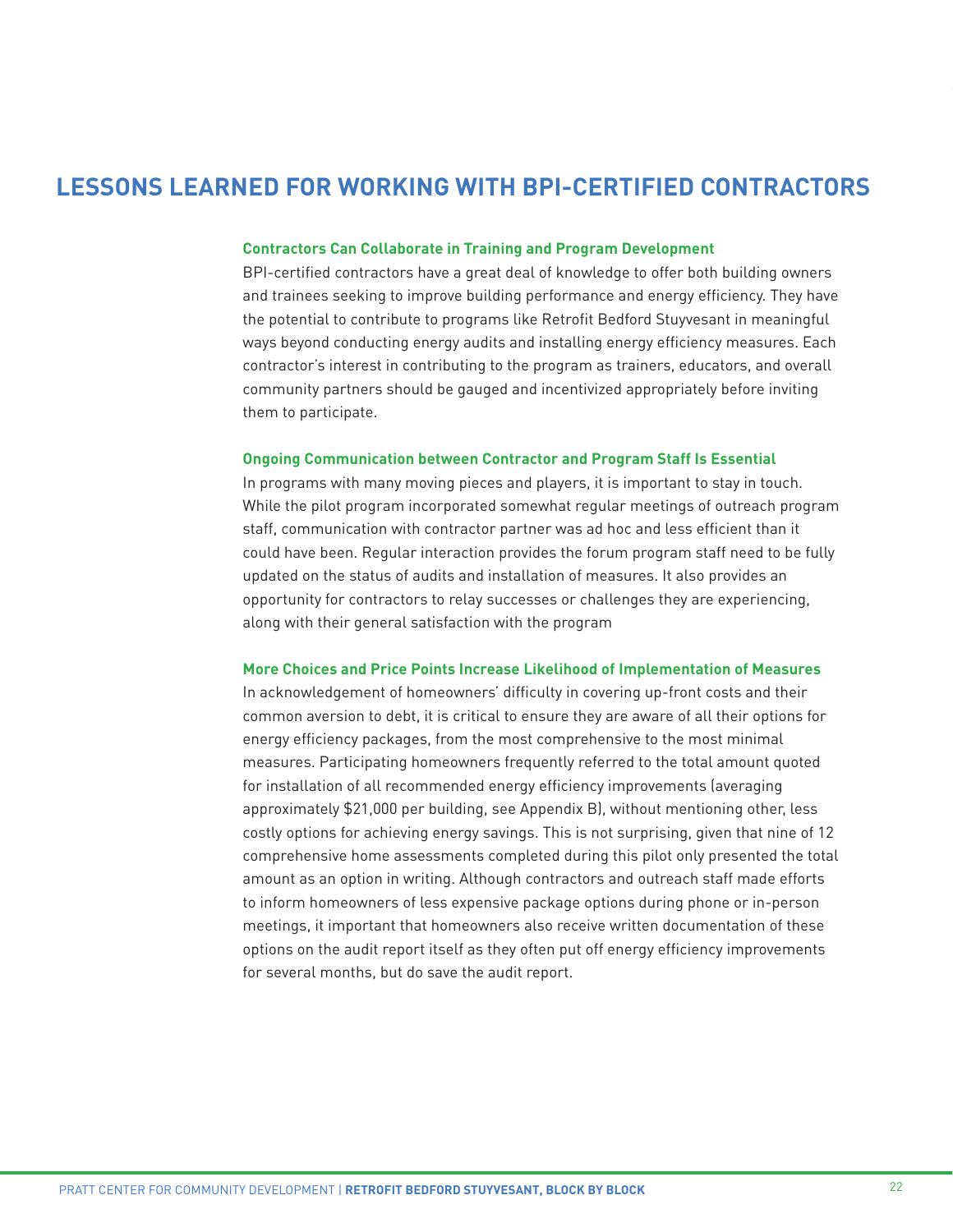# **LESSONS LEARNED FOR WORKING WITH BPI-CERTIFIED CONTRACTORS**

## **Contractors Can Collaborate in Training and Program Development**

BPI-certified contractors have a great deal of knowledge to offer both building owners and trainees seeking to improve building performance and energy efficiency. They have the potential to contribute to programs like Retrofit Bedford Stuyvesant in meaningful ways beyond conducting energy audits and installing energy efficiency measures. Each contractor's interest in contributing to the program as trainers, educators, and overall community partners should be gauged and incentivized appropriately before inviting them to participate.

#### **Ongoing Communication between Contractor and Program Staff Is Essential**

In programs with many moving pieces and players, it is important to stay in touch. While the pilot program incorporated somewhat regular meetings of outreach program staff, communication with contractor partner was ad hoc and less efficient than it could have been. Regular interaction provides the forum program staff need to be fully updated on the status of audits and installation of measures. It also provides an opportunity for contractors to relay successes or challenges they are experiencing, along with their general satisfaction with the program

#### **More Choices and Price Points Increase Likelihood of Implementation of Measures**

In acknowledgement of homeowners' difficulty in covering up-front costs and their common aversion to debt, it is critical to ensure they are aware of all their options for energy efficiency packages, from the most comprehensive to the most minimal measures. Participating homeowners frequently referred to the total amount quoted for installation of all recommended energy efficiency improvements (averaging approximately \$21,000 per building, see Appendix B), without mentioning other, less costly options for achieving energy savings. This is not surprising, given that nine of 12 comprehensive home assessments completed during this pilot only presented the total amount as an option in writing. Although contractors and outreach staff made efforts to inform homeowners of less expensive package options during phone or in-person meetings, it important that homeowners also receive written documentation of these options on the audit report itself as they often put off energy efficiency improvements for several months, but do save the audit report.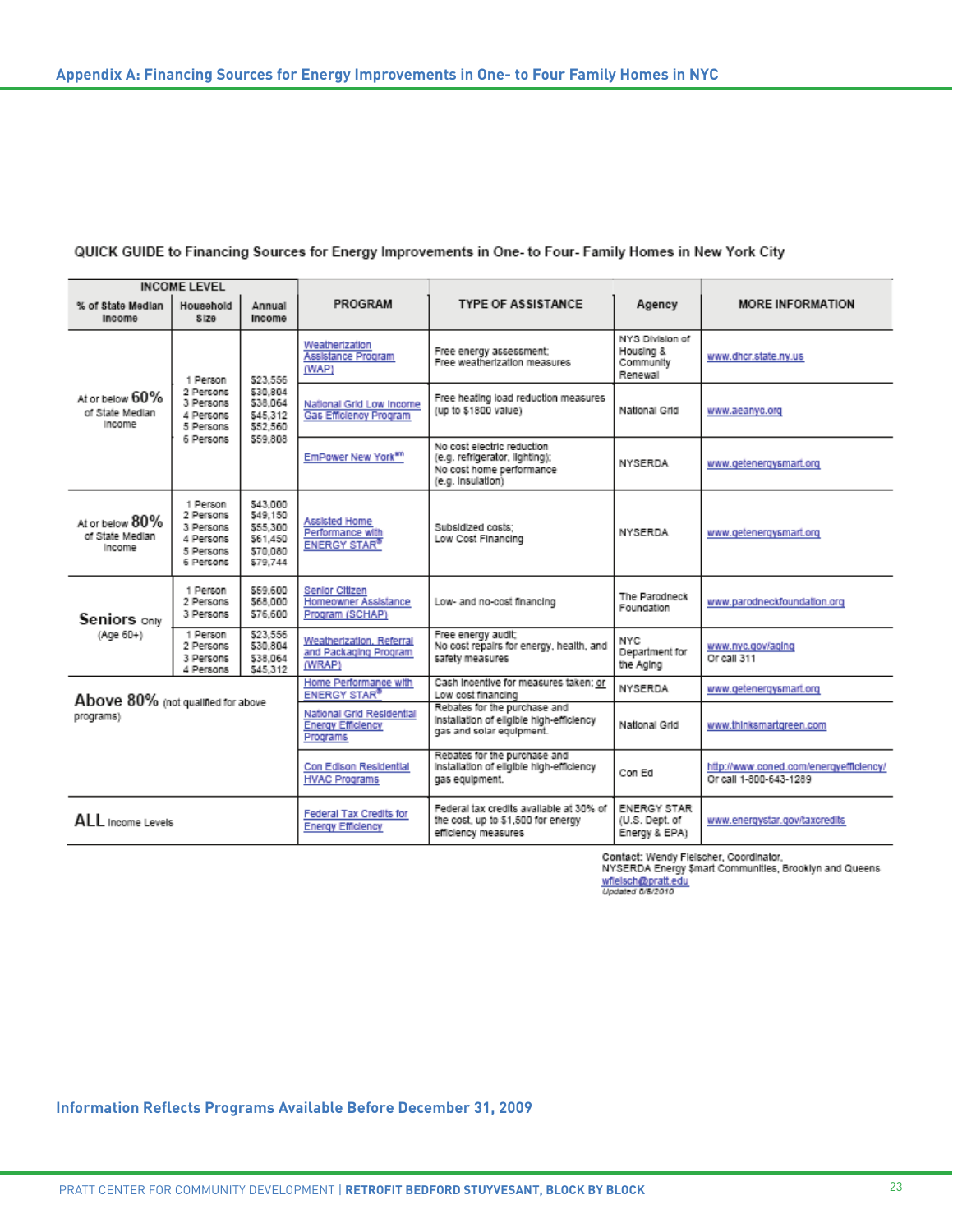## QUICK GUIDE to Financing Sources for Energy Improvements in One- to Four- Family Homes in New York City

| <b>INCOME LEVEL</b>                          |                                                                           |                                                                      |                                                                   |                                                                                                               |                                                                            |                                  |  |
|----------------------------------------------|---------------------------------------------------------------------------|----------------------------------------------------------------------|-------------------------------------------------------------------|---------------------------------------------------------------------------------------------------------------|----------------------------------------------------------------------------|----------------------------------|--|
| % of State Median<br>Income                  | Household<br>Size                                                         | Annual<br>Income                                                     | PROGRAM                                                           | <b>TYPE OF ASSISTANCE</b>                                                                                     | Agency                                                                     | <b>MORE INFORMATION</b>          |  |
| At or below 60%<br>of State Median<br>Income | 1 Person<br>2 Persons<br>3 Persons<br>4 Persons<br>5 Persons<br>6 Persons | \$23.556<br>\$30.804<br>\$38,064<br>\$45.312<br>\$52,560<br>\$59,808 | Weathertzation<br>Assistance Program<br>(WAP)                     | Free energy assessment;<br>Free weatherization measures                                                       | NYS Division of<br>Housing &<br>Community<br>Renewal                       | www.dhcr.state.ny.us             |  |
|                                              |                                                                           |                                                                      | National Grid Low Income<br><b>Gas Efficiency Program</b>         | Free heating load reduction measures<br>(up to \$1800 value)                                                  | National Grid                                                              | www.aeanyc.org                   |  |
|                                              |                                                                           |                                                                      | EmPower New York <sup>am</sup>                                    | No cost electric reduction<br>(e.g. refrigerator, lighting);<br>No cost home performance<br>(e.g. Insulation) | <b>NYSERDA</b>                                                             | www.getenergysmart.org           |  |
| At or below 80%<br>of State Median<br>Income | 1 Person<br>2 Persons<br>3 Persons<br>4 Persons<br>5 Persons<br>6 Persons | \$43,000<br>\$49.150<br>\$55,300<br>\$61,450<br>\$70.080<br>\$79.744 | Assisted Home<br>Performance with<br><b>ENERGY STAR®</b>          | Subsidized costs:<br>Low Cost Financing                                                                       | NYSERDA                                                                    | www.getenergysmart.org           |  |
| Seniors only<br>(Age 60+)                    | 1 Person<br>2 Persons<br>3 Persons                                        | \$59,600<br>\$68,000<br>\$76,600                                     | Senior Citizen<br>Homeowner Assistance<br>Program (SCHAP)         | Low- and no-cost financing                                                                                    | The Parodneck<br>Foundation                                                | www.parodneckfoundation.org      |  |
|                                              | 1 Person<br>2 Persons<br>3 Persons<br>4 Persons                           | \$23.556<br>\$30,804<br>\$38.064<br>\$45.312                         | Weatherization, Referral<br>and Packaging Program<br>(WRAP)       | Free energy audit;<br>No cost repairs for energy, health, and<br>safety measures                              | <b>NYC</b><br>Department for<br>the Aging                                  | www.nyc.gov/aging<br>Or call 311 |  |
| Above 80% (not qualified for above           |                                                                           | Home Performance with<br><b>ENERGY STAR®</b>                         | Cash Incentive for measures taken; or<br>Low cost financing       | NYSERDA                                                                                                       | www.getenergysmart.org                                                     |                                  |  |
| programs)                                    |                                                                           |                                                                      | National Grid Residential<br><b>Energy Efficiency</b><br>Programs | Rebates for the purchase and<br>installation of eligible high-efficiency<br>gas and solar equipment.          | National Grid                                                              | www.thinksmartgreen.com          |  |
|                                              |                                                                           |                                                                      | Con Edison Residential<br><b>HVAC Programs</b>                    | Rebates for the purchase and<br>installation of eligible high-efficiency<br>gas equipment.                    | http://www.coned.com/energyefficiency/<br>Con Ed<br>Or call 1-800-643-1289 |                                  |  |
| ALL Income Levels                            |                                                                           | Federal Tax Credits for<br><b>Energy Efficiency</b>                  |                                                                   | Federal tax credits available at 30% of<br>the cost, up to \$1,500 for energy<br>efficiency measures          | <b>ENERGY STAR</b><br>(U.S. Dept. of<br>Energy & EPA)                      | www.energystar.gov/taxcredits    |  |

Market: Wendy Fielscher, Coordinator,<br>Contact: Wendy Fielscher, Coordinator,<br>WYSERDA Energy Smart Communities, Brooklyn and Queens<br>Wielschi@pratt.edu<br>Updated 06/2010

**Information Reflects Programs Available Before December 31, 2009**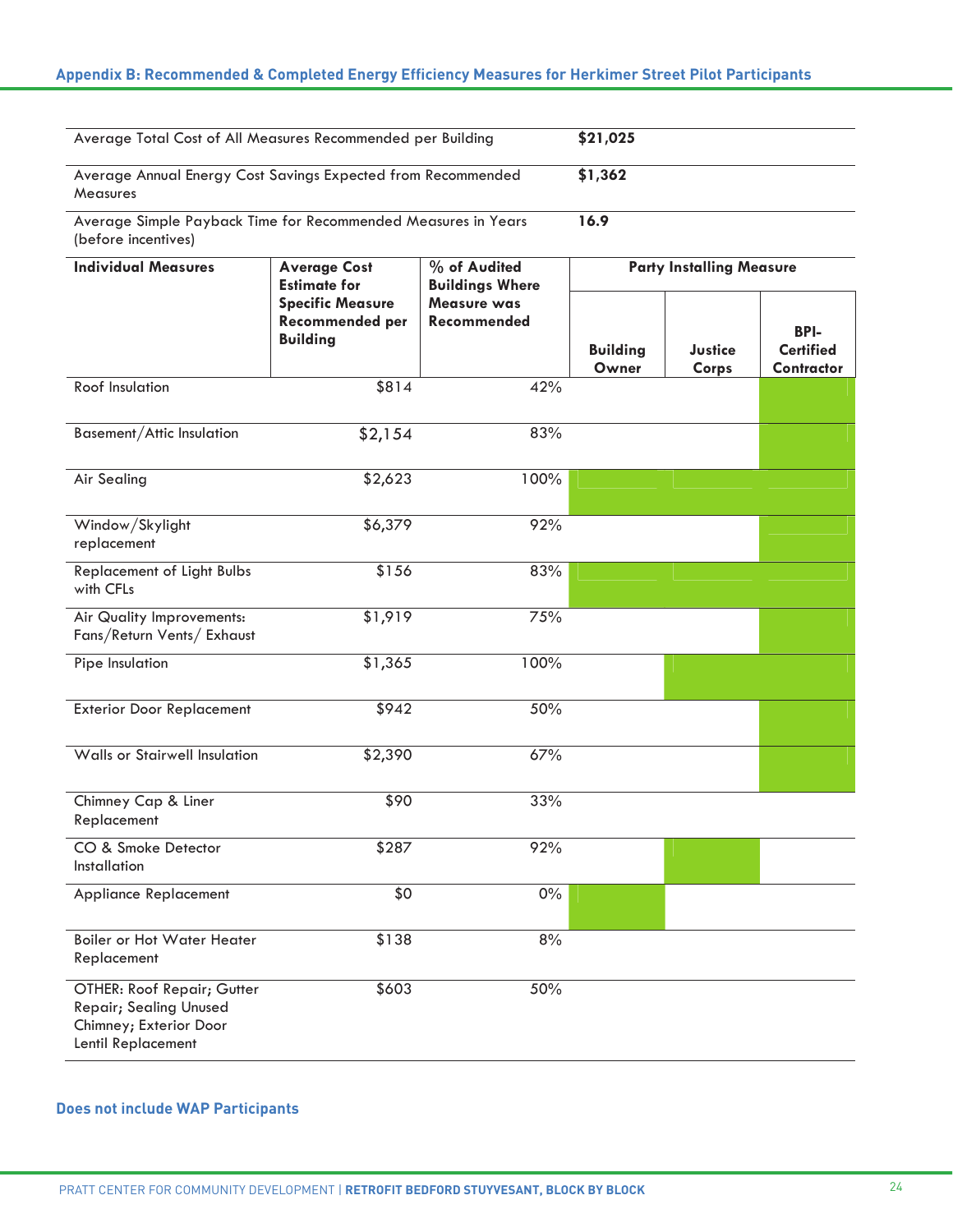# **Appendix B: Recommended & Completed Energy Efficiency Measures for Herkimer Street Pilot Participants**

Herchimer Street Pilot Participants (1989), which Pilot Pilot Participants (1989), which Pilot Pilot Participants (

| Average Total Cost of All Measures Recommended per Building<br>\$21,025                              |                                                                      |                                                                      |                                 |                         |                                |  |
|------------------------------------------------------------------------------------------------------|----------------------------------------------------------------------|----------------------------------------------------------------------|---------------------------------|-------------------------|--------------------------------|--|
| Average Annual Energy Cost Savings Expected from Recommended<br>\$1,362<br><b>Measures</b>           |                                                                      |                                                                      |                                 |                         |                                |  |
| 16.9<br>Average Simple Payback Time for Recommended Measures in Years<br>(before incentives)         |                                                                      |                                                                      |                                 |                         |                                |  |
| <b>Individual Measures</b>                                                                           | <b>Average Cost</b><br><b>Estimate for</b>                           | % of Audited<br><b>Buildings Where</b><br>Measure was<br>Recommended | <b>Party Installing Measure</b> |                         |                                |  |
|                                                                                                      | <b>Specific Measure</b><br><b>Recommended per</b><br><b>Building</b> |                                                                      |                                 |                         | <b>BPI-</b>                    |  |
|                                                                                                      |                                                                      |                                                                      | <b>Building</b><br>Owner        | <b>Justice</b><br>Corps | <b>Certified</b><br>Contractor |  |
| <b>Roof Insulation</b>                                                                               | \$814                                                                | 42%                                                                  |                                 |                         |                                |  |
| Basement/Attic Insulation                                                                            | \$2,154                                                              | 83%                                                                  |                                 |                         |                                |  |
| <b>Air Sealing</b>                                                                                   | \$2,623                                                              | 100%                                                                 |                                 |                         |                                |  |
| Window/Skylight<br>replacement                                                                       | \$6,379                                                              | 92%                                                                  |                                 |                         |                                |  |
| <b>Replacement of Light Bulbs</b><br>with CFLs                                                       | \$156                                                                | 83%                                                                  |                                 |                         |                                |  |
| Air Quality Improvements:<br>Fans/Return Vents/ Exhaust                                              | \$1,919                                                              | 75%                                                                  |                                 |                         |                                |  |
| Pipe Insulation                                                                                      | \$1,365                                                              | 100%                                                                 |                                 |                         |                                |  |
| <b>Exterior Door Replacement</b>                                                                     | \$942                                                                | 50%                                                                  |                                 |                         |                                |  |
| Walls or Stairwell Insulation                                                                        | \$2,390                                                              | 67%                                                                  |                                 |                         |                                |  |
| Chimney Cap & Liner<br>Replacement                                                                   | \$90                                                                 | 33%                                                                  |                                 |                         |                                |  |
| CO & Smoke Detector<br>Installation                                                                  | \$287                                                                | 92%                                                                  |                                 |                         |                                |  |
| Appliance Replacement                                                                                | \$0                                                                  | $0\%$                                                                |                                 |                         |                                |  |
| <b>Boiler or Hot Water Heater</b><br>Replacement                                                     | \$138                                                                | 8%                                                                   |                                 |                         |                                |  |
| OTHER: Roof Repair; Gutter<br>Repair; Sealing Unused<br>Chimney; Exterior Door<br>Lentil Replacement | \$603                                                                | 50%                                                                  |                                 |                         |                                |  |

# **Does not include WAP Participants**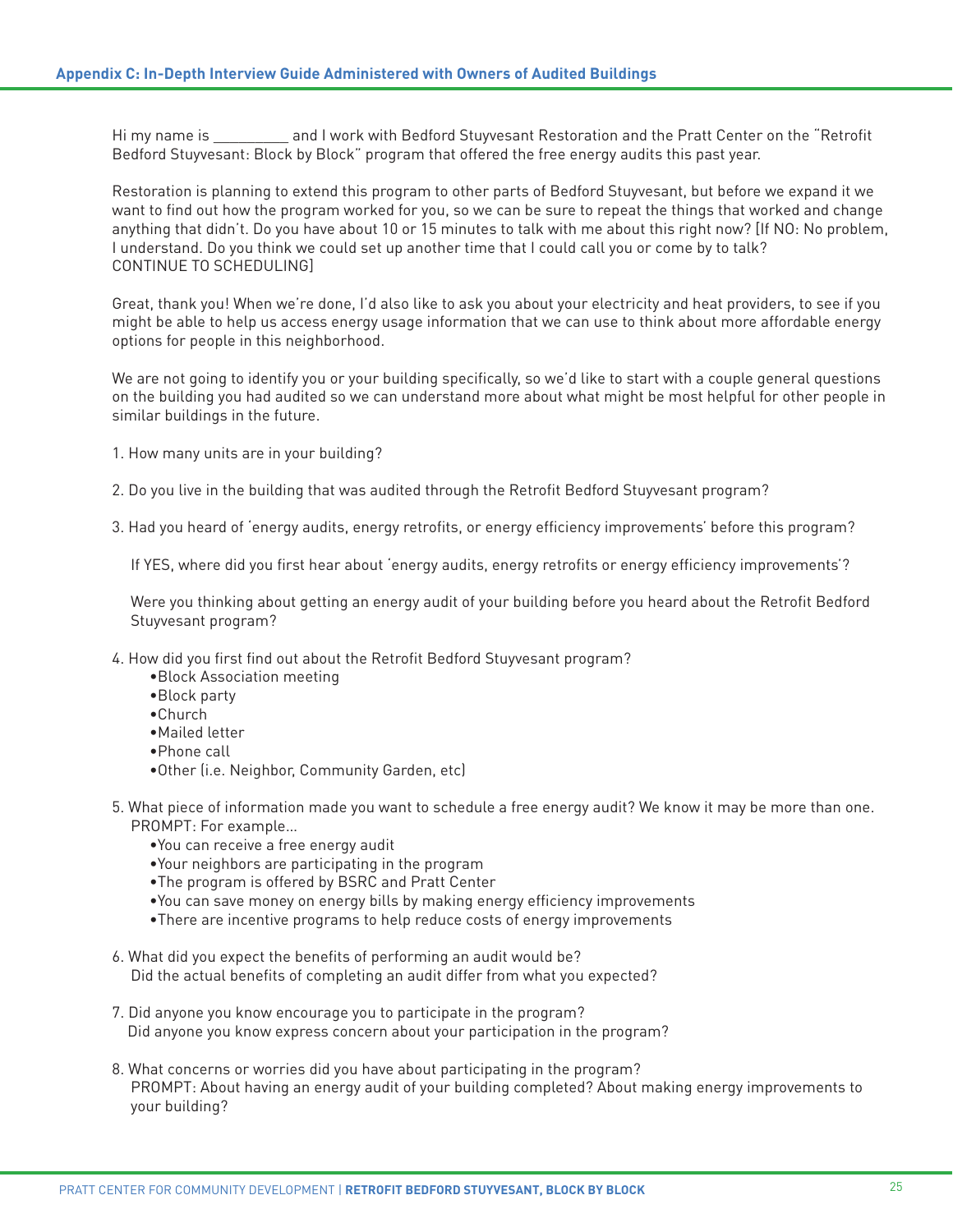Hi my name is **Example 2** and I work with Bedford Stuyvesant Restoration and the Pratt Center on the "Retrofit Bedford Stuyvesant: Block by Block" program that offered the free energy audits this past year.

Restoration is planning to extend this program to other parts of Bedford Stuyvesant, but before we expand it we want to find out how the program worked for you, so we can be sure to repeat the things that worked and change anything that didn't. Do you have about 10 or 15 minutes to talk with me about this right now? [If NO: No problem, I understand. Do you think we could set up another time that I could call you or come by to talk? CONTINUE TO SCHEDULING]

Great, thank you! When we're done, I'd also like to ask you about your electricity and heat providers, to see if you might be able to help us access energy usage information that we can use to think about more affordable energy options for people in this neighborhood.

We are not going to identify you or your building specifically, so we'd like to start with a couple general questions on the building you had audited so we can understand more about what might be most helpful for other people in similar buildings in the future.

- 1. How many units are in your building?
- 2. Do you live in the building that was audited through the Retrofit Bedford Stuyvesant program?
- 3. Had you heard of 'energy audits, energy retrofits, or energy efficiency improvements' before this program?

If YES, where did you first hear about 'energy audits, energy retrofits or energy efficiency improvements'?

Were you thinking about getting an energy audit of your building before you heard about the Retrofit Bedford Stuyvesant program?

- 4. How did you first find out about the Retrofit Bedford Stuyvesant program?
	- •Block Association meeting
	- •Block party
	- •Church
	- •Mailed letter
	- •Phone call
	- •Other (i.e. Neighbor, Community Garden, etc)
- 5. What piece of information made you want to schedule a free energy audit? We know it may be more than one. PROMPT: For example…
	- •You can receive a free energy audit
	- •Your neighbors are participating in the program
	- •The program is offered by BSRC and Pratt Center
	- •You can save money on energy bills by making energy efficiency improvements
	- •There are incentive programs to help reduce costs of energy improvements
- 6. What did you expect the benefits of performing an audit would be? Did the actual benefits of completing an audit differ from what you expected?
- 7. Did anyone you know encourage you to participate in the program? Did anyone you know express concern about your participation in the program?
- 8. What concerns or worries did you have about participating in the program? PROMPT: About having an energy audit of your building completed? About making energy improvements to your building?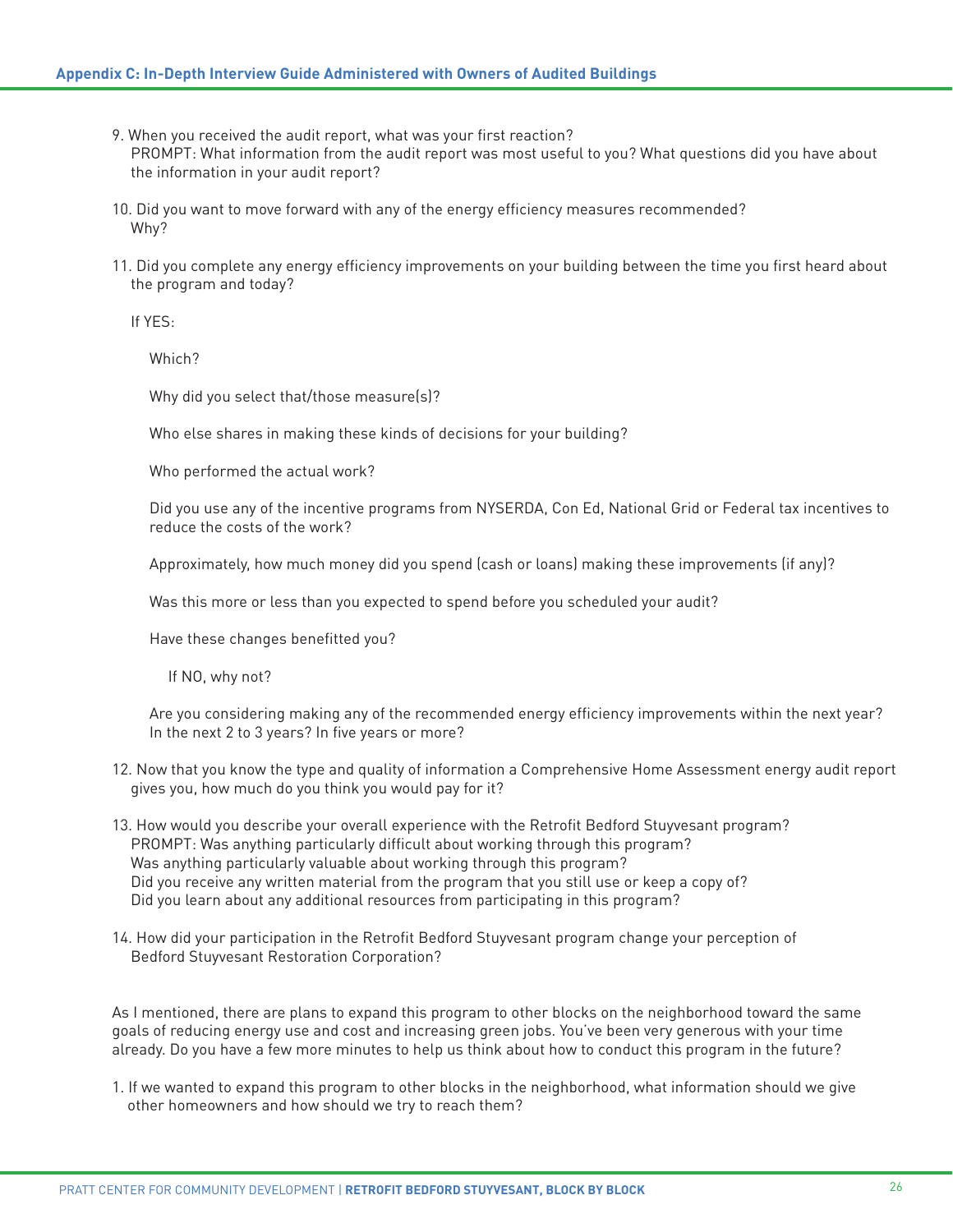- 9. When you received the audit report, what was your first reaction? PROMPT: What information from the audit report was most useful to you? What questions did you have about the information in your audit report?
- 10. Did you want to move forward with any of the energy efficiency measures recommended? Why?
- 11. Did you complete any energy efficiency improvements on your building between the time you first heard about the program and today?

If YES:

Which?

Why did you select that/those measure(s)?

Who else shares in making these kinds of decisions for your building?

Who performed the actual work?

Did you use any of the incentive programs from NYSERDA, Con Ed, National Grid or Federal tax incentives to reduce the costs of the work?

Approximately, how much money did you spend (cash or loans) making these improvements (if any)?

Was this more or less than you expected to spend before you scheduled your audit?

Have these changes benefitted you?

If NO, why not?

Are you considering making any of the recommended energy efficiency improvements within the next year? In the next 2 to 3 years? In five years or more?

- 12. Now that you know the type and quality of information a Comprehensive Home Assessment energy audit report gives you, how much do you think you would pay for it?
- 13. How would you describe your overall experience with the Retrofit Bedford Stuyvesant program? PROMPT: Was anything particularly difficult about working through this program? Was anything particularly valuable about working through this program? Did you receive any written material from the program that you still use or keep a copy of? Did you learn about any additional resources from participating in this program?
- 14. How did your participation in the Retrofit Bedford Stuyvesant program change your perception of Bedford Stuyvesant Restoration Corporation?

As I mentioned, there are plans to expand this program to other blocks on the neighborhood toward the same goals of reducing energy use and cost and increasing green jobs. You've been very generous with your time already. Do you have a few more minutes to help us think about how to conduct this program in the future?

1. If we wanted to expand this program to other blocks in the neighborhood, what information should we give other homeowners and how should we try to reach them?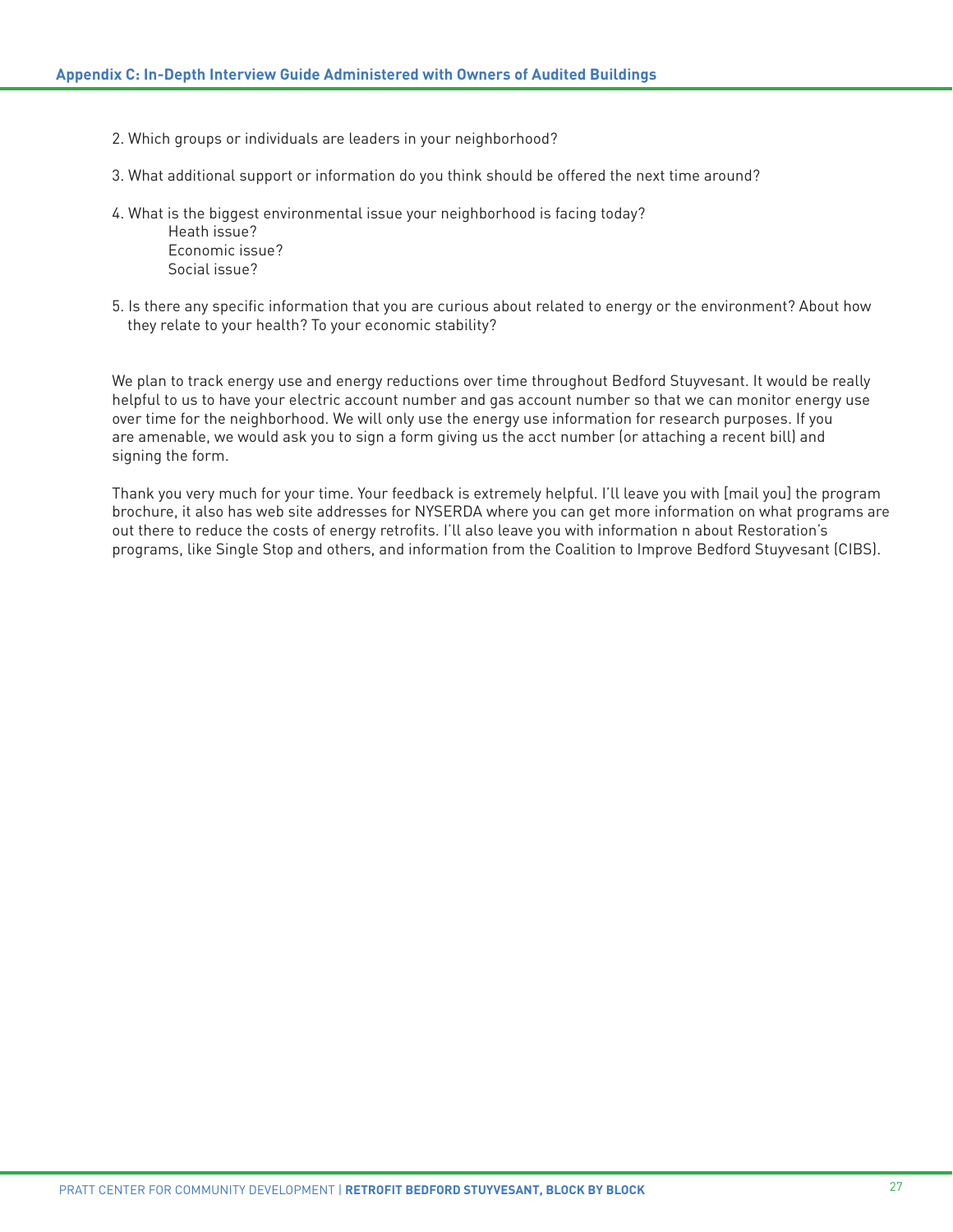- 2. Which groups or individuals are leaders in your neighborhood?
- 3. What additional support or information do you think should be offered the next time around?
- 4. What is the biggest environmental issue your neighborhood is facing today?

Heath issue? Economic issue? Social issue?

5. Is there any specific information that you are curious about related to energy or the environment? About how they relate to your health? To your economic stability?

We plan to track energy use and energy reductions over time throughout Bedford Stuyvesant. It would be really helpful to us to have your electric account number and gas account number so that we can monitor energy use over time for the neighborhood. We will only use the energy use information for research purposes. If you are amenable, we would ask you to sign a form giving us the acct number (or attaching a recent bill) and signing the form.

Thank you very much for your time. Your feedback is extremely helpful. I'll leave you with [mail you] the program brochure, it also has web site addresses for NYSERDA where you can get more information on what programs are out there to reduce the costs of energy retrofits. I'll also leave you with information n about Restoration's programs, like Single Stop and others, and information from the Coalition to Improve Bedford Stuyvesant (CIBS).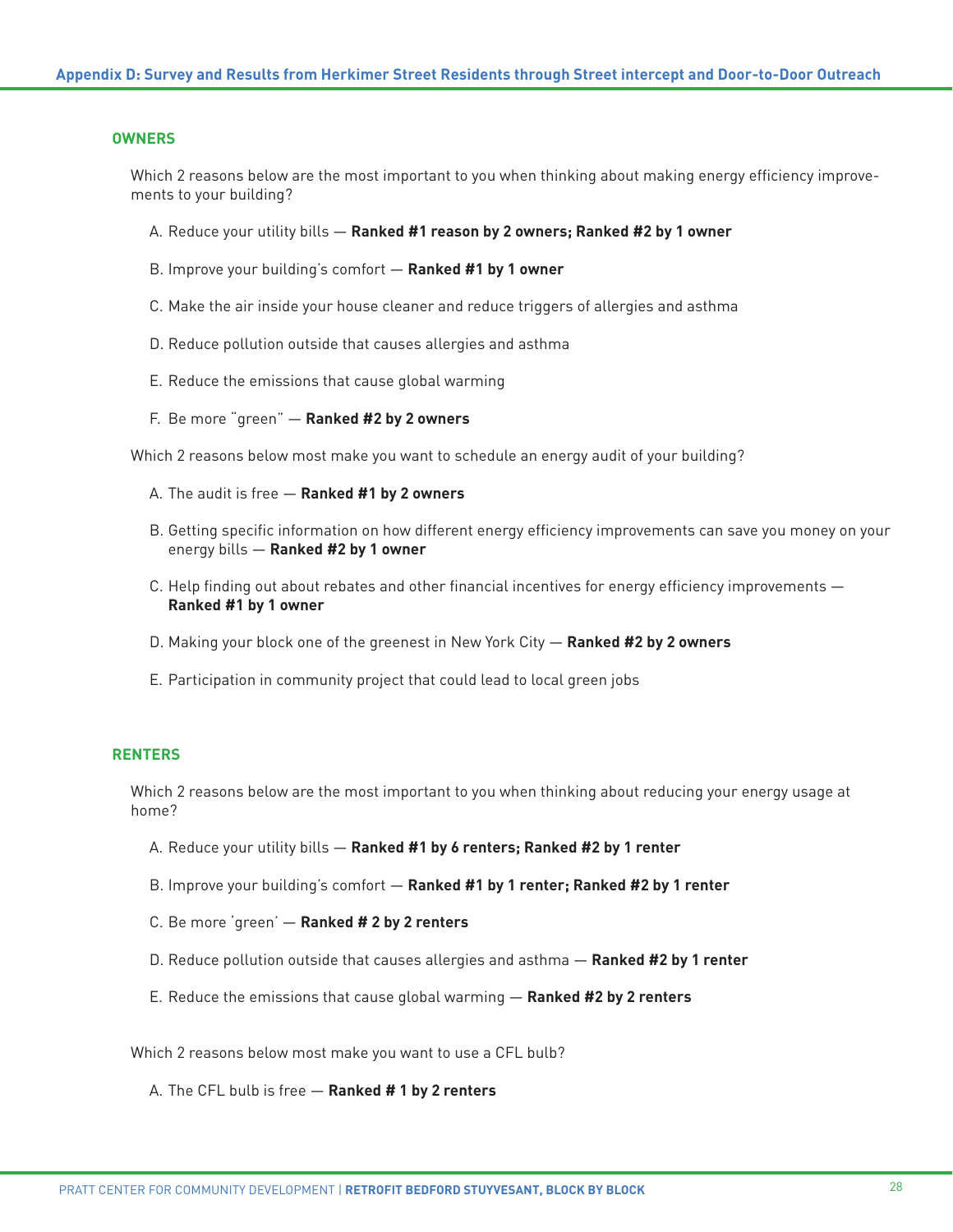#### **OWNERS**

Which 2 reasons below are the most important to you when thinking about making energy efficiency improvements to your building?

- A. Reduce your utility bills **Ranked #1 reason by 2 owners; Ranked #2 by 1 owner**
- B. Improve your building's comfort **Ranked #1 by 1 owner**
- C. Make the air inside your house cleaner and reduce triggers of allergies and asthma
- D. Reduce pollution outside that causes allergies and asthma
- E. Reduce the emissions that cause global warming
- F. Be more "green" **Ranked #2 by 2 owners**

Which 2 reasons below most make you want to schedule an energy audit of your building?

- A. The audit is free **Ranked #1 by 2 owners**
- B. Getting specific information on how different energy efficiency improvements can save you money on your energy bills — **Ranked #2 by 1 owner**
- C. Help finding out about rebates and other financial incentives for energy efficiency improvements **Ranked #1 by 1 owner**
- D. Making your block one of the greenest in New York City **Ranked #2 by 2 owners**
- E. Participation in community project that could lead to local green jobs

## **RENTERS**

Which 2 reasons below are the most important to you when thinking about reducing your energy usage at home?

- A. Reduce your utility bills **Ranked #1 by 6 renters; Ranked #2 by 1 renter**
- B. Improve your building's comfort **Ranked #1 by 1 renter; Ranked #2 by 1 renter**
- C. Be more 'green' **Ranked # 2 by 2 renters**
- D. Reduce pollution outside that causes allergies and asthma **Ranked #2 by 1 renter**
- E. Reduce the emissions that cause global warming **Ranked #2 by 2 renters**

Which 2 reasons below most make you want to use a CFL bulb?

A. The CFL bulb is free — **Ranked # 1 by 2 renters**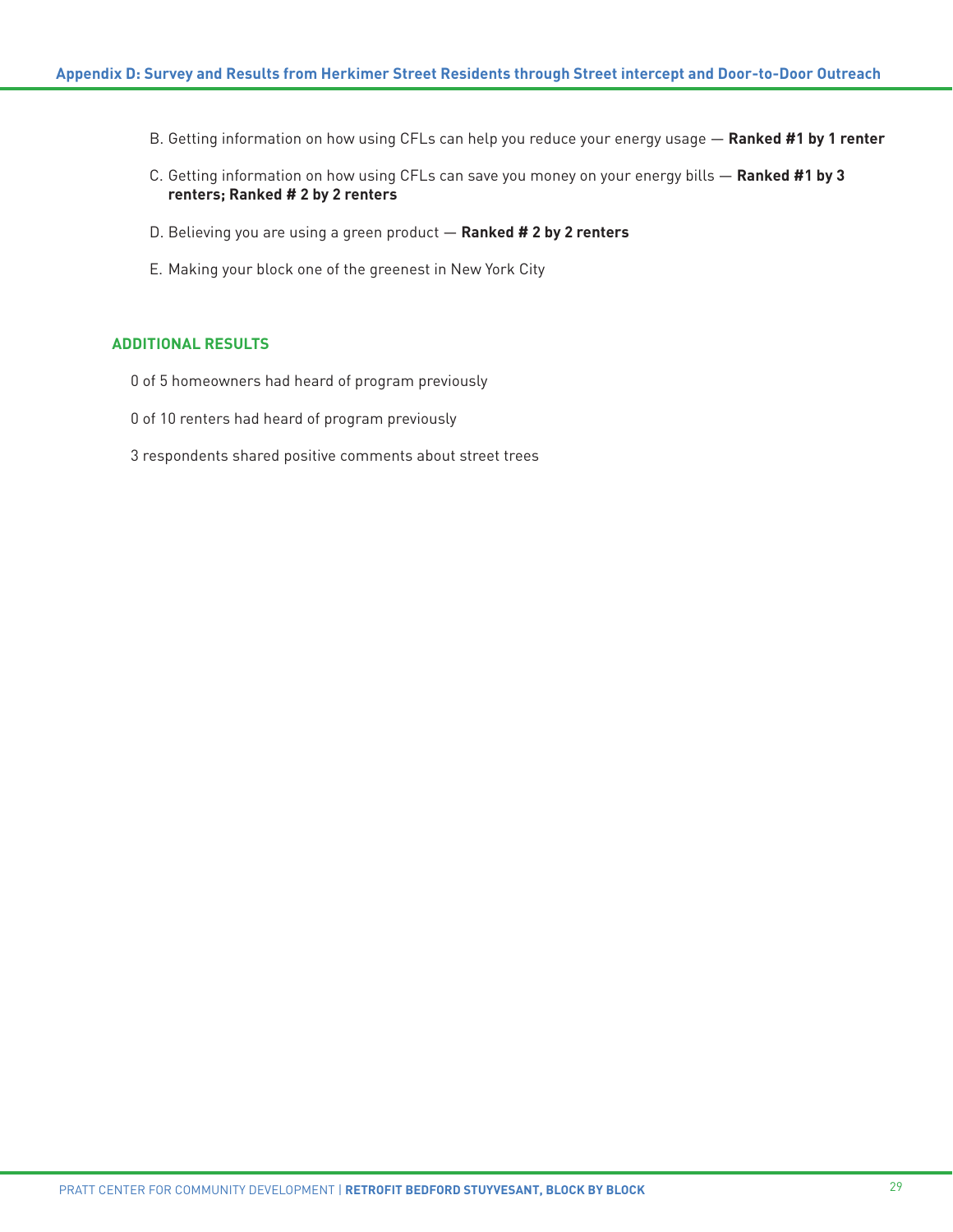- B. Getting information on how using CFLs can help you reduce your energy usage **Ranked #1 by 1 renter**
- C. Getting information on how using CFLs can save you money on your energy bills **Ranked #1 by 3 renters; Ranked # 2 by 2 renters**
- D. Believing you are using a green product **Ranked # 2 by 2 renters**
- E. Making your block one of the greenest in New York City

# **ADDITIONAL RESULTS**

- 0 of 5 homeowners had heard of program previously
- 0 of 10 renters had heard of program previously
- 3 respondents shared positive comments about street trees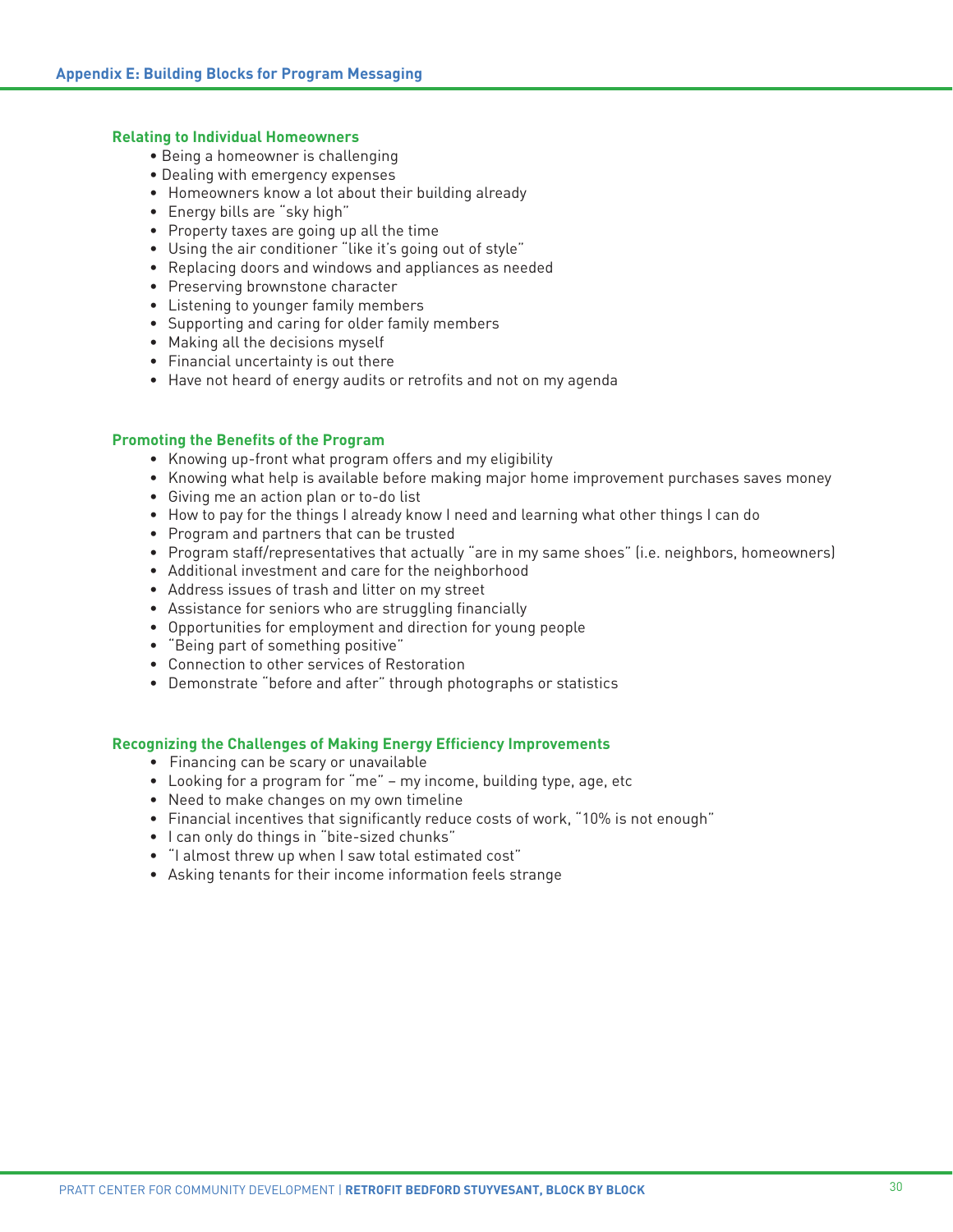## **Relating to Individual Homeowners**

- Being a homeowner is challenging
- Dealing with emergency expenses
- Homeowners know a lot about their building already
- Energy bills are "sky high"
- Property taxes are going up all the time
- Using the air conditioner "like it's going out of style"
- Replacing doors and windows and appliances as needed
- Preserving brownstone character
- Listening to younger family members
- Supporting and caring for older family members
- Making all the decisions myself
- Financial uncertainty is out there
- Have not heard of energy audits or retrofits and not on my agenda

# **Promoting the Benefits of the Program**

- Knowing up-front what program offers and my eligibility
- Knowing what help is available before making major home improvement purchases saves money
- Giving me an action plan or to-do list
- How to pay for the things I already know I need and learning what other things I can do
- Program and partners that can be trusted
- Program staff/representatives that actually "are in my same shoes" (i.e. neighbors, homeowners)
- Additional investment and care for the neighborhood
- Address issues of trash and litter on my street
- Assistance for seniors who are struggling financially
- Opportunities for employment and direction for young people
- "Being part of something positive"
- Connection to other services of Restoration
- Demonstrate "before and after" through photographs or statistics

#### **Recognizing the Challenges of Making Energy Efficiency Improvements**

- Financing can be scary or unavailable
- Looking for a program for "me" my income, building type, age, etc
- Need to make changes on my own timeline
- Financial incentives that significantly reduce costs of work, "10% is not enough"
- I can only do things in "bite-sized chunks"
- "I almost threw up when I saw total estimated cost"
- Asking tenants for their income information feels strange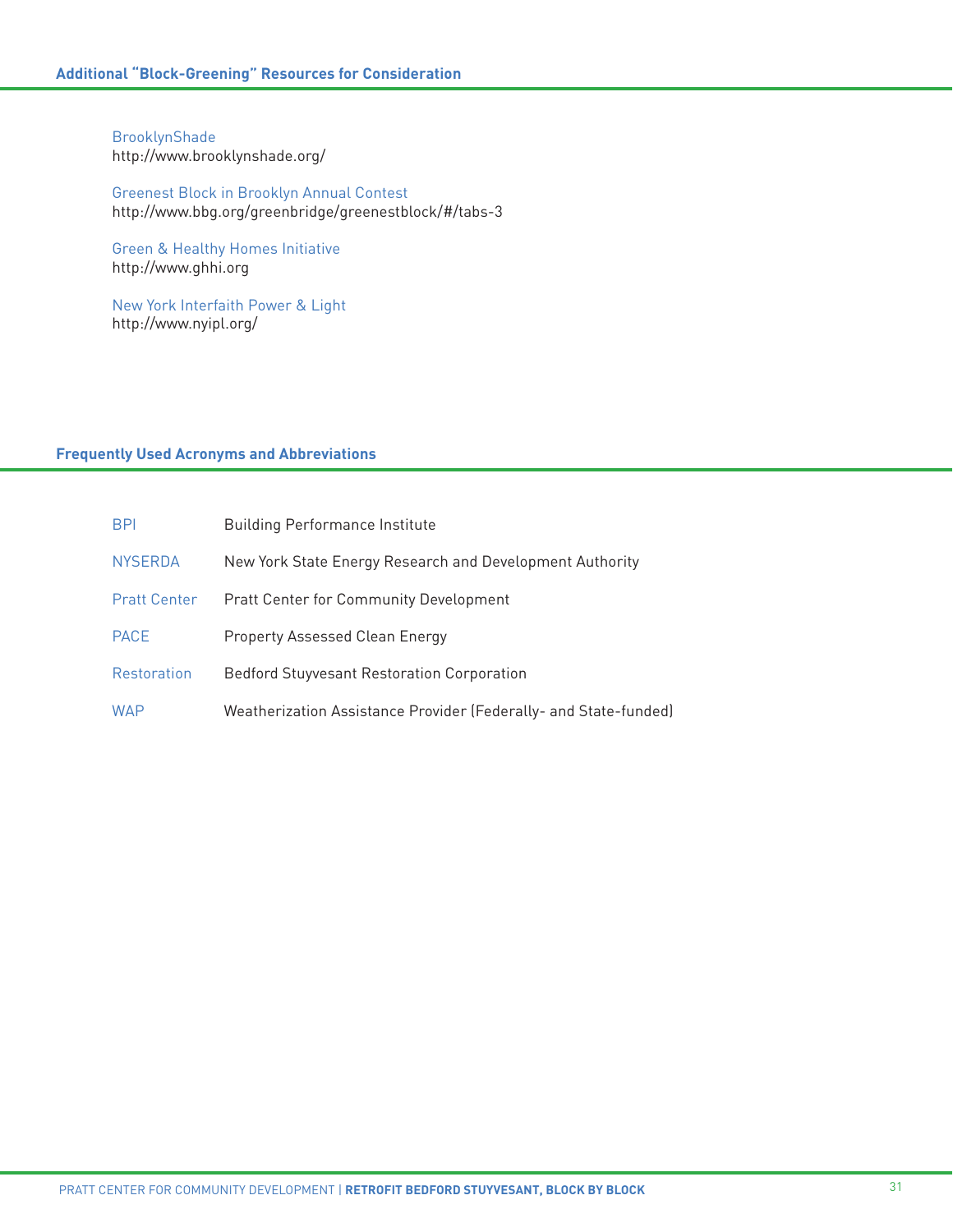BrooklynShade <http://www.brooklynshade.org/>

Greenest Block in Brooklyn Annual Contest <http://www.bbg.org/greenbridge/greenestblock/#/tabs-3>

Green & Healthy Homes Initiative http://[www.ghhi.org](http://www.ghhi.org )

New York Interfaith Power & Light <http://www.nyipl.org/>

# **Frequently Used Acronyms and Abbreviations**

| <b>BPI</b>          | <b>Building Performance Institute</b>                            |
|---------------------|------------------------------------------------------------------|
| <b>NYSERDA</b>      | New York State Energy Research and Development Authority         |
| <b>Pratt Center</b> | <b>Pratt Center for Community Development</b>                    |
| <b>PACE</b>         | Property Assessed Clean Energy                                   |
| <b>Restoration</b>  | <b>Bedford Stuyvesant Restoration Corporation</b>                |
| <b>WAP</b>          | Weatherization Assistance Provider (Federally- and State-funded) |